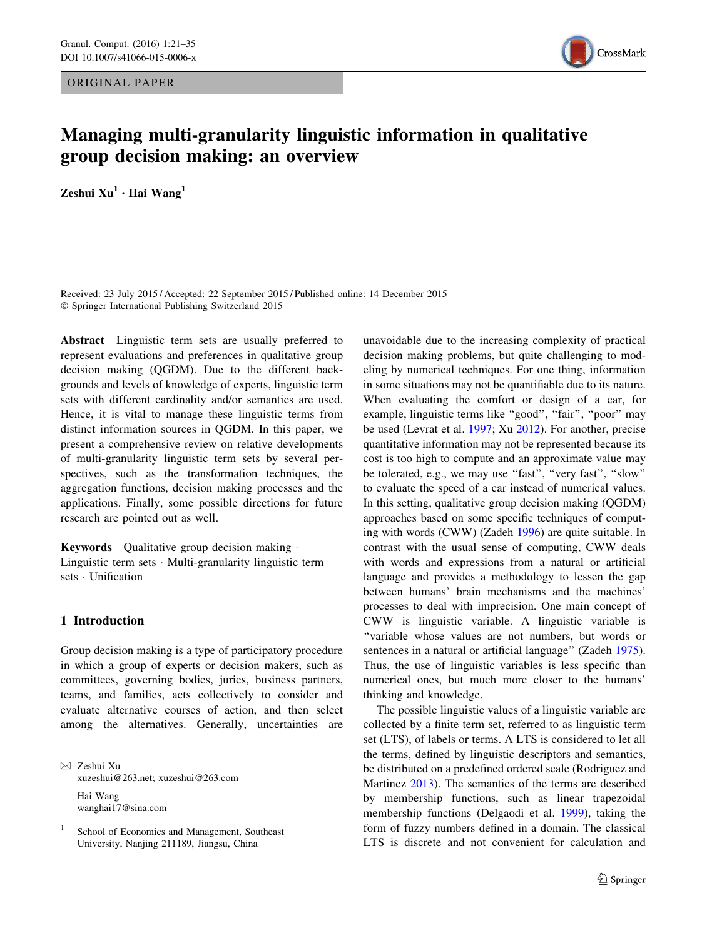<span id="page-0-0"></span>ORIGINAL PAPER



# Managing multi-granularity linguistic information in qualitative group decision making: an overview

Zeshui  $Xu^1 \cdot Hai$  Wang<sup>1</sup>

Received: 23 July 2015 / Accepted: 22 September 2015 / Published online: 14 December 2015 - Springer International Publishing Switzerland 2015

Abstract Linguistic term sets are usually preferred to represent evaluations and preferences in qualitative group decision making (QGDM). Due to the different backgrounds and levels of knowledge of experts, linguistic term sets with different cardinality and/or semantics are used. Hence, it is vital to manage these linguistic terms from distinct information sources in QGDM. In this paper, we present a comprehensive review on relative developments of multi-granularity linguistic term sets by several perspectives, such as the transformation techniques, the aggregation functions, decision making processes and the applications. Finally, some possible directions for future research are pointed out as well.

**Keywords** Qualitative group decision making  $\cdot$ Linguistic term sets - Multi-granularity linguistic term sets - Unification

# 1 Introduction

Group decision making is a type of participatory procedure in which a group of experts or decision makers, such as committees, governing bodies, juries, business partners, teams, and families, acts collectively to consider and evaluate alternative courses of action, and then select among the alternatives. Generally, uncertainties are

 $\boxtimes$  Zeshui Xu xuzeshui@263.net; xuzeshui@263.com

Hai Wang wanghai17@sina.com

School of Economics and Management, Southeast University, Nanjing 211189, Jiangsu, China

unavoidable due to the increasing complexity of practical decision making problems, but quite challenging to modeling by numerical techniques. For one thing, information in some situations may not be quantifiable due to its nature. When evaluating the comfort or design of a car, for example, linguistic terms like ''good'', ''fair'', ''poor'' may be used (Levrat et al. [1997;](#page-13-0) Xu [2012](#page-14-0)). For another, precise quantitative information may not be represented because its cost is too high to compute and an approximate value may be tolerated, e.g., we may use "fast", "very fast", "slow" to evaluate the speed of a car instead of numerical values. In this setting, qualitative group decision making (QGDM) approaches based on some specific techniques of computing with words (CWW) (Zadeh [1996](#page-14-0)) are quite suitable. In contrast with the usual sense of computing, CWW deals with words and expressions from a natural or artificial language and provides a methodology to lessen the gap between humans' brain mechanisms and the machines' processes to deal with imprecision. One main concept of CWW is linguistic variable. A linguistic variable is ''variable whose values are not numbers, but words or sentences in a natural or artificial language" (Zadeh [1975](#page-14-0)). Thus, the use of linguistic variables is less specific than numerical ones, but much more closer to the humans' thinking and knowledge.

The possible linguistic values of a linguistic variable are collected by a finite term set, referred to as linguistic term set (LTS), of labels or terms. A LTS is considered to let all the terms, defined by linguistic descriptors and semantics, be distributed on a predefined ordered scale (Rodriguez and Martinez [2013\)](#page-13-0). The semantics of the terms are described by membership functions, such as linear trapezoidal membership functions (Delgaodi et al. [1999](#page-13-0)), taking the form of fuzzy numbers defined in a domain. The classical LTS is discrete and not convenient for calculation and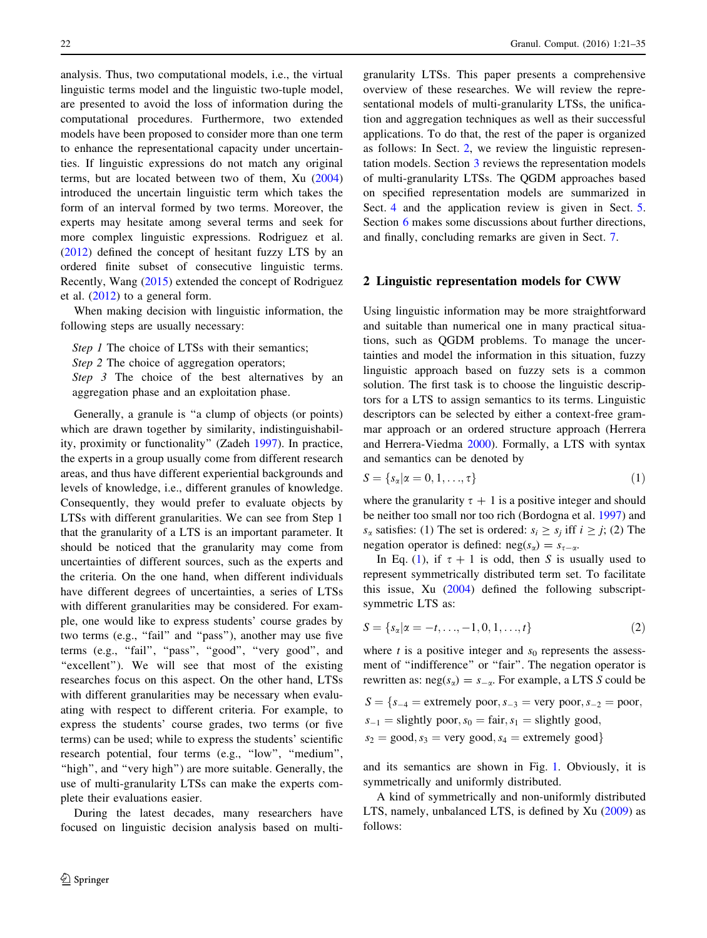<span id="page-1-0"></span>analysis. Thus, two computational models, i.e., the virtual linguistic terms model and the linguistic two-tuple model, are presented to avoid the loss of information during the computational procedures. Furthermore, two extended models have been proposed to consider more than one term to enhance the representational capacity under uncertainties. If linguistic expressions do not match any original terms, but are located between two of them, Xu ([2004\)](#page-14-0) introduced the uncertain linguistic term which takes the form of an interval formed by two terms. Moreover, the experts may hesitate among several terms and seek for more complex linguistic expressions. Rodriguez et al. [\(2012](#page-13-0)) defined the concept of hesitant fuzzy LTS by an ordered finite subset of consecutive linguistic terms. Recently, Wang [\(2015](#page-13-0)) extended the concept of Rodriguez et al. [\(2012](#page-13-0)) to a general form.

When making decision with linguistic information, the following steps are usually necessary:

Step 1 The choice of LTSs with their semantics;

Step 2 The choice of aggregation operators;

Step 3 The choice of the best alternatives by an aggregation phase and an exploitation phase.

Generally, a granule is ''a clump of objects (or points) which are drawn together by similarity, indistinguishability, proximity or functionality'' (Zadeh [1997\)](#page-14-0). In practice, the experts in a group usually come from different research areas, and thus have different experiential backgrounds and levels of knowledge, i.e., different granules of knowledge. Consequently, they would prefer to evaluate objects by LTSs with different granularities. We can see from Step 1 that the granularity of a LTS is an important parameter. It should be noticed that the granularity may come from uncertainties of different sources, such as the experts and the criteria. On the one hand, when different individuals have different degrees of uncertainties, a series of LTSs with different granularities may be considered. For example, one would like to express students' course grades by two terms (e.g., "fail" and "pass"), another may use five terms (e.g., "fail", "pass", "good", "very good", and "excellent"). We will see that most of the existing researches focus on this aspect. On the other hand, LTSs with different granularities may be necessary when evaluating with respect to different criteria. For example, to express the students' course grades, two terms (or five terms) can be used; while to express the students' scientific research potential, four terms (e.g., "low", "medium", "high", and "very high") are more suitable. Generally, the use of multi-granularity LTSs can make the experts complete their evaluations easier.

During the latest decades, many researchers have focused on linguistic decision analysis based on multigranularity LTSs. This paper presents a comprehensive overview of these researches. We will review the representational models of multi-granularity LTSs, the unification and aggregation techniques as well as their successful applications. To do that, the rest of the paper is organized as follows: In Sect. 2, we review the linguistic representation models. Section [3](#page-3-0) reviews the representation models of multi-granularity LTSs. The QGDM approaches based on specified representation models are summarized in Sect. [4](#page-4-0) and the application review is given in Sect. [5.](#page-10-0) Section [6](#page-12-0) makes some discussions about further directions, and finally, concluding remarks are given in Sect. [7](#page-12-0).

# 2 Linguistic representation models for CWW

Using linguistic information may be more straightforward and suitable than numerical one in many practical situations, such as QGDM problems. To manage the uncertainties and model the information in this situation, fuzzy linguistic approach based on fuzzy sets is a common solution. The first task is to choose the linguistic descriptors for a LTS to assign semantics to its terms. Linguistic descriptors can be selected by either a context-free grammar approach or an ordered structure approach (Herrera and Herrera-Viedma [2000\)](#page-13-0). Formally, a LTS with syntax and semantics can be denoted by

$$
S = \{s_{\alpha} | \alpha = 0, 1, \dots, \tau\}
$$
\n<sup>(1)</sup>

where the granularity  $\tau + 1$  is a positive integer and should be neither too small nor too rich (Bordogna et al. [1997](#page-13-0)) and  $s_{\alpha}$  satisfies: (1) The set is ordered:  $s_i \geq s_j$  iff  $i \geq j$ ; (2) The negation operator is defined:  $neg(s_\alpha) = s_{\tau-\alpha}$ .

In Eq. (1), if  $\tau + 1$  is odd, then S is usually used to represent symmetrically distributed term set. To facilitate this issue, Xu ([2004\)](#page-14-0) defined the following subscriptsymmetric LTS as:

$$
S = \{s_{\alpha} | \alpha = -t, \dots, -1, 0, 1, \dots, t\}
$$
 (2)

where t is a positive integer and  $s_0$  represents the assessment of "indifference" or "fair". The negation operator is rewritten as:  $neg(s_\alpha) = s_{-\alpha}$ . For example, a LTS S could be

 $S = \{s_{-4} = \text{extremely poor}, s_{-3} = \text{very poor}, s_{-2} = \text{poor},\}$ 

 $s_{-1}$  = slightly poor,  $s_0$  = fair,  $s_1$  = slightly good,

 $s_2 = \text{good}, s_3 = \text{very good}, s_4 = \text{extremely good}$ 

and its semantics are shown in Fig. [1](#page-2-0). Obviously, it is symmetrically and uniformly distributed.

A kind of symmetrically and non-uniformly distributed LTS, namely, unbalanced LTS, is defined by Xu ([2009\)](#page-14-0) as follows: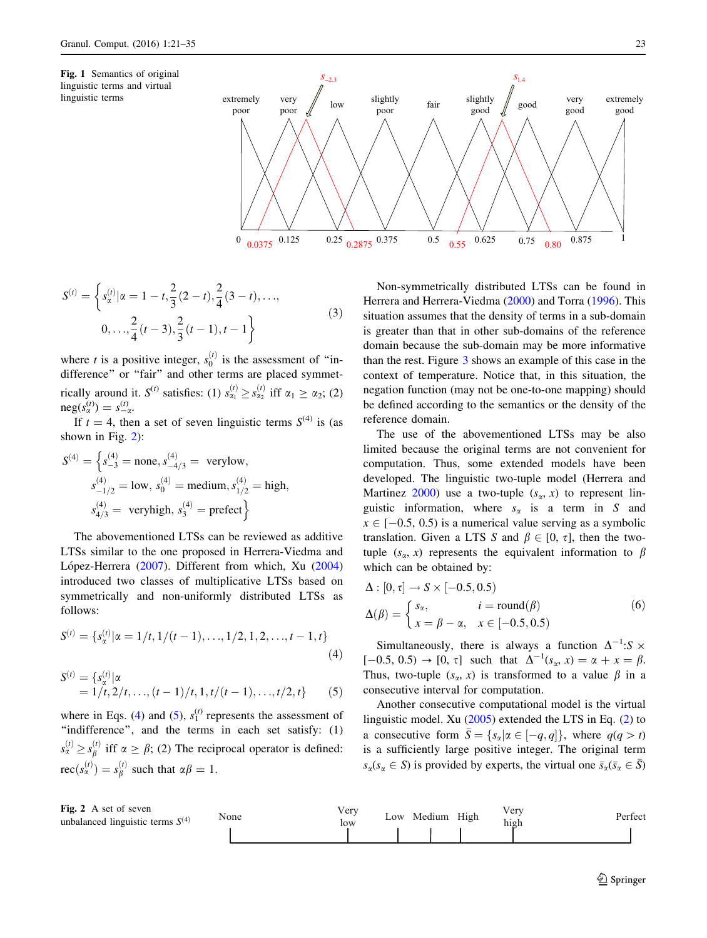<span id="page-2-0"></span>



$$
S^{(t)} = \left\{ s_x^{(t)} | \alpha = 1 - t, \frac{2}{3} (2 - t), \frac{2}{4} (3 - t), \dots, \right\}
$$
  

$$
0, \dots, \frac{2}{4} (t - 3), \frac{2}{3} (t - 1), t - 1 \right\}
$$
  
(3)

where *t* is a positive integer,  $s_0^{(t)}$  is the assessment of "indifference" or "fair" and other terms are placed symmetrically around it.  $S^{(t)}$  satisfies: (1)  $s_{\alpha_1}^{(t)} \ge s_{\alpha_2}^{(t)}$  iff  $\alpha_1 \ge \alpha_2$ ; (2)  $neg(s_{\alpha}^{(t)}) = s_{-\alpha}^{(t)}$ .

If  $t = 4$ , then a set of seven linguistic terms  $S^{(4)}$  is (as shown in Fig. 2):

$$
S^{(4)} = \left\{ s_{-3}^{(4)} = \text{none}, s_{-4/3}^{(4)} = \text{verylow}, \right.
$$
  
\n
$$
s_{-1/2}^{(4)} = \text{low}, s_0^{(4)} = \text{medium}, s_{1/2}^{(4)} = \text{high}, \right.
$$
  
\n
$$
s_{4/3}^{(4)} = \text{veryhigh}, s_3^{(4)} = \text{prefect} \right\}
$$

The abovementioned LTSs can be reviewed as additive LTSs similar to the one proposed in Herrera-Viedma and López-Herrera [\(2007\)](#page-13-0). Different from which, Xu ([2004\)](#page-14-0) introduced two classes of multiplicative LTSs based on symmetrically and non-uniformly distributed LTSs as follows:

$$
S^{(t)} = \{s_{\alpha}^{(t)} | \alpha = 1/t, 1/(t-1), \dots, 1/2, 1, 2, \dots, t-1, t\}
$$
\n(4)

$$
S^{(t)} = \{s_{\alpha}^{(t)} | \alpha
$$
  
= 1/t, 2/t, ..., (t-1)/t, 1, t/(t-1), ..., t/2, t\} (5)

where in Eqs. (4) and (5),  $s_1^{(t)}$  represents the assessment of "indifference", and the terms in each set satisfy: (1)  $s_{\alpha}^{(t)} \geq s_{\beta}^{(t)}$  iff  $\alpha \geq \beta$ ; (2) The reciprocal operator is defined:  $\operatorname{rec}(s_{\alpha}^{(t)}) = s_{\beta}^{(t)}$  such that  $\alpha \beta = 1$ .

Non-symmetrically distributed LTSs can be found in Herrera and Herrera-Viedma ([2000](#page-13-0)) and Torra [\(1996](#page-13-0)). This situation assumes that the density of terms in a sub-domain is greater than that in other sub-domains of the reference domain because the sub-domain may be more informative than the rest. Figure [3](#page-3-0) shows an example of this case in the context of temperature. Notice that, in this situation, the negation function (may not be one-to-one mapping) should be defined according to the semantics or the density of the reference domain.

The use of the abovementioned LTSs may be also limited because the original terms are not convenient for computation. Thus, some extended models have been developed. The linguistic two-tuple model (Herrera and Martinez [2000](#page-13-0)) use a two-tuple  $(s_\alpha, x)$  to represent linguistic information, where  $s_\alpha$  is a term in S and  $x \in [-0.5, 0.5)$  is a numerical value serving as a symbolic translation. Given a LTS S and  $\beta \in [0, \tau]$ , then the twotuple  $(s_\alpha, x)$  represents the equivalent information to  $\beta$ which can be obtained by:

$$
\Delta : [0, \tau] \to S \times [-0.5, 0.5)
$$
  

$$
\Delta(\beta) = \begin{cases} s_{\alpha}, & i = \text{round}(\beta) \\ x = \beta - \alpha, & x \in [-0.5, 0.5) \end{cases}
$$
(6)

Simultaneously, there is always a function  $\Delta^{-1}$ : S ×  $[-0.5, 0.5) \rightarrow [0, \tau]$  such that  $\Delta^{-1}(s_{\alpha}, x) = \alpha + x = \beta$ . Thus, two-tuple  $(s_\alpha, x)$  is transformed to a value  $\beta$  in a consecutive interval for computation.

Another consecutive computational model is the virtual linguistic model. Xu ([2005](#page-14-0)) extended the LTS in Eq. [\(2](#page-1-0)) to a consecutive form  $\bar{S} = \{s_\alpha | \alpha \in [-q, q]\}$ , where  $q(q > t)$ is a sufficiently large positive integer. The original term  $s_{\alpha}(s_{\alpha} \in S)$  is provided by experts, the virtual one  $\bar{s}_{\alpha}(\bar{s}_{\alpha} \in \bar{S})$ 

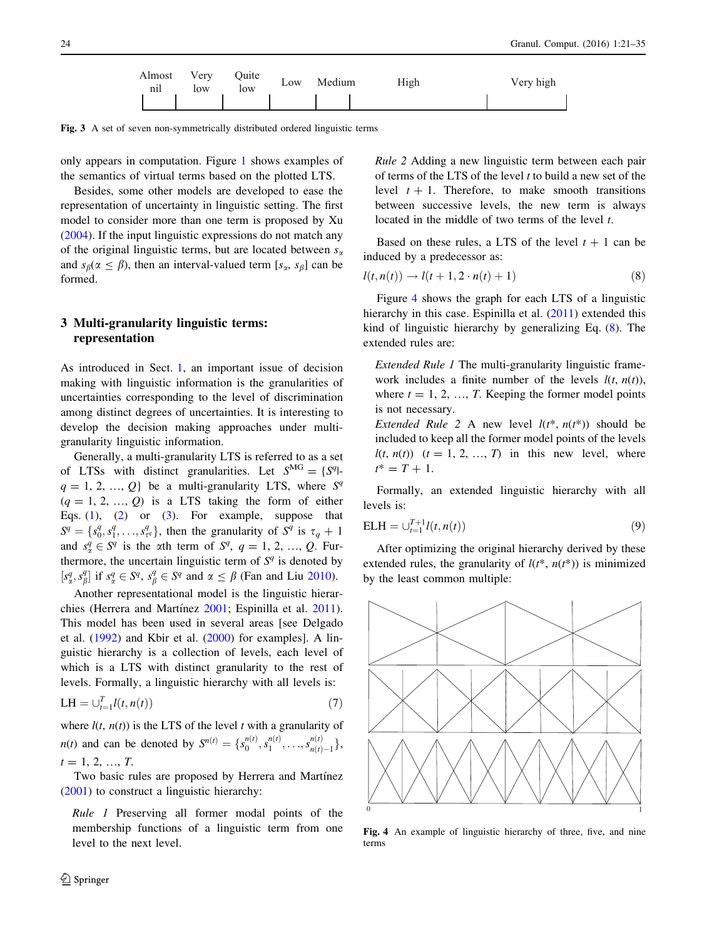<span id="page-3-0"></span>

Fig. 3 A set of seven non-symmetrically distributed ordered linguistic terms

only appears in computation. Figure [1](#page-2-0) shows examples of the semantics of virtual terms based on the plotted LTS.

Besides, some other models are developed to ease the representation of uncertainty in linguistic setting. The first model to consider more than one term is proposed by Xu [\(2004](#page-14-0)). If the input linguistic expressions do not match any of the original linguistic terms, but are located between  $s_\alpha$ and  $s_\beta(\alpha \le \beta)$ , then an interval-valued term [ $s_\alpha$ ,  $s_\beta$ ] can be formed.

# 3 Multi-granularity linguistic terms: representation

As introduced in Sect. [1](#page-0-0), an important issue of decision making with linguistic information is the granularities of uncertainties corresponding to the level of discrimination among distinct degrees of uncertainties. It is interesting to develop the decision making approaches under multigranularity linguistic information.

Generally, a multi-granularity LTS is referred to as a set of LTSs with distinct granularities. Let  $S^{MG} = \{S^q\}$  $q = 1, 2, ..., Q$ } be a multi-granularity LTS, where  $S<sup>q</sup>$  $(q = 1, 2, ..., Q)$  is a LTS taking the form of either Eqs. [\(1](#page-1-0)), [\(2](#page-1-0)) or ([3\)](#page-1-0). For example, suppose that  $S^q = \{s_0^q, s_1^q, \ldots, s_{\tau^q}^q\}$ , then the granularity of  $S^q$  is  $\tau_q + 1$ and  $s_\alpha^q \in S^q$  is the  $\alpha$ th term of  $S^q$ ,  $q = 1, 2, ..., Q$ . Furthermore, the uncertain linguistic term of  $S<sup>q</sup>$  is denoted by  $[s_{\alpha}^q, s_{\beta}^q]$  if  $s_{\alpha}^q \in S^q$ ,  $s_{\beta}^q \in S^q$  and  $\alpha \leq \beta$  (Fan and Liu [2010](#page-13-0)).

Another representational model is the linguistic hierar-chies (Herrera and Martínez [2001;](#page-13-0) Espinilla et al. [2011](#page-13-0)). This model has been used in several areas [see Delgado et al. ([1992\)](#page-13-0) and Kbir et al. [\(2000](#page-13-0)) for examples]. A linguistic hierarchy is a collection of levels, each level of which is a LTS with distinct granularity to the rest of levels. Formally, a linguistic hierarchy with all levels is:

$$
LH = \bigcup_{t=1}^{T} l(t, n(t))
$$
\n<sup>(7)</sup>

where  $l(t, n(t))$  is the LTS of the level t with a granularity of *n(t)* and can be denoted by  $S^{n(t)} = \{s_0^{n(t)}, s_1^{n(t)}, \ldots, s_{n(t)-1}^{n(t)}\},$  $t = 1, 2, ..., T$ .

Two basic rules are proposed by Herrera and Martínez [\(2001](#page-13-0)) to construct a linguistic hierarchy:

Rule 1 Preserving all former modal points of the membership functions of a linguistic term from one level to the next level.

Rule 2 Adding a new linguistic term between each pair of terms of the LTS of the level  $t$  to build a new set of the level  $t + 1$ . Therefore, to make smooth transitions between successive levels, the new term is always located in the middle of two terms of the level t.

Based on these rules, a LTS of the level  $t + 1$  can be induced by a predecessor as:

$$
l(t, n(t)) \rightarrow l(t+1, 2 \cdot n(t) + 1) \tag{8}
$$

Figure 4 shows the graph for each LTS of a linguistic hierarchy in this case. Espinilla et al. [\(2011\)](#page-13-0) extended this kind of linguistic hierarchy by generalizing Eq. (8). The extended rules are:

Extended Rule 1 The multi-granularity linguistic framework includes a finite number of the levels  $l(t, n(t))$ , where  $t = 1, 2, ..., T$ . Keeping the former model points is not necessary.

*Extended Rule 2 A new level*  $l(t^*, n(t^*))$  *should be* included to keep all the former model points of the levels  $l(t, n(t))$   $(t = 1, 2, ..., T)$  in this new level, where  $t^* = T + 1.$ 

Formally, an extended linguistic hierarchy with all levels is:

$$
ELH = \bigcup_{t=1}^{T+1} l(t, n(t))
$$
\n(9)

After optimizing the original hierarchy derived by these extended rules, the granularity of  $l(t^*, n(t^*))$  is minimized by the least common multiple:



Fig. 4 An example of linguistic hierarchy of three, five, and nine terms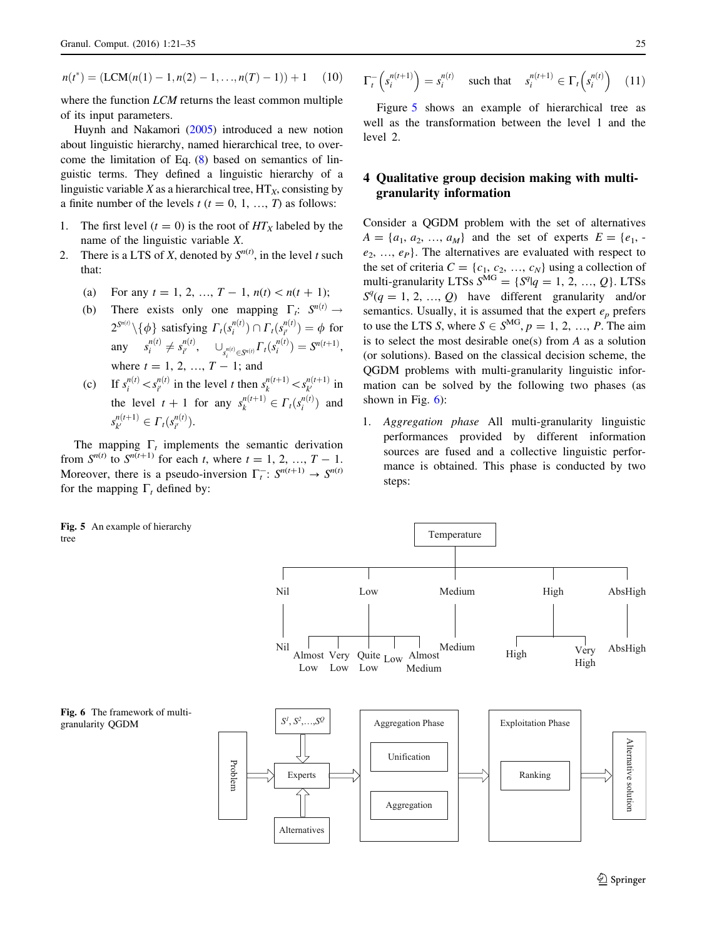<span id="page-4-0"></span>
$$
n(t^*) = (LCM(n(1) - 1, n(2) - 1, \dots, n(T) - 1)) + 1 \quad (10)
$$

where the function *LCM* returns the least common multiple of its input parameters.

Huynh and Nakamori ([2005](#page-13-0)) introduced a new notion about linguistic hierarchy, named hierarchical tree, to overcome the limitation of Eq. [\(8](#page-3-0)) based on semantics of linguistic terms. They defined a linguistic hierarchy of a linguistic variable X as a hierarchical tree,  $HT_x$ , consisting by a finite number of the levels  $t$   $(t = 0, 1, ..., T)$  as follows:

- 1. The first level  $(t = 0)$  is the root of  $HT_X$  labeled by the name of the linguistic variable X.
- 2. There is a LTS of X, denoted by  $S^{n(t)}$ , in the level t such that:
	- (a) For any  $t = 1, 2, ..., T 1, n(t) < n(t + 1);$
	- (b) There exists only one mapping  $\Gamma_i: S^{n(t)} \to$  $2^{S^{n(t)}} \setminus {\phi}$  satisfying  $\Gamma_t(s_i^{n(t)}) \cap \Gamma_t(s_{i'}^{n(t)}) = \phi$  for any  $s_i^{n(t)} \neq s_{i'}^{n(t)}, \quad \bigcup_{s_i^{n(t)} \in S^{n(t)}} \Gamma_t(s_i^{n(t)}) = S^{n(t+1)},$ where  $t = 1, 2, ..., T - 1$ ; and
	- (c) If  $s_i^{n(t)} < s_{i'}^{n(t)}$  in the level t then  $s_k^{n(t+1)} < s_{k'}^{n(t+1)}$  in the level  $t + 1$  for any  $s_k^{n(t+1)} \in \Gamma_t(s_i^{n(t)})$  and  $s_{k'}^{n(t+1)} \in \Gamma_t(s_{i'}^{n(t)}).$

The mapping  $\Gamma_t$  implements the semantic derivation from  $S^{n(t)}$  to  $S^{n(t+1)}$  for each t, where  $t = 1, 2, ..., T - 1$ . Moreover, there is a pseudo-inversion  $\Gamma_t^-: S^{n(t+1)} \to S^{n(t)}$ for the mapping  $\Gamma_t$  defined by:

$$
\Gamma_t^-\left(s_i^{n(t+1)}\right) = s_i^{n(t)} \quad \text{such that} \quad s_i^{n(t+1)} \in \Gamma_t\left(s_i^{n(t)}\right) \quad (11)
$$

Figure 5 shows an example of hierarchical tree as well as the transformation between the level 1 and the level 2.

# 4 Qualitative group decision making with multigranularity information

Consider a QGDM problem with the set of alternatives  $A = \{a_1, a_2, ..., a_M\}$  and the set of experts  $E = \{e_1, -e_2, ..., e_M\}$  $e_2, \ldots, e_p$ . The alternatives are evaluated with respect to the set of criteria  $C = \{c_1, c_2, ..., c_N\}$  using a collection of multi-granularity LTSs  $S<sup>MG</sup> = {S<sup>q</sup> | q = 1, 2, ..., Q}.$  LTSs  $S^q$ (q = 1, 2, ..., Q) have different granularity and/or semantics. Usually, it is assumed that the expert  $e_n$  prefers to use the LTS S, where  $S \in S^{MG}$ ,  $p = 1, 2, ..., P$ . The aim is to select the most desirable one(s) from  $A$  as a solution (or solutions). Based on the classical decision scheme, the QGDM problems with multi-granularity linguistic information can be solved by the following two phases (as shown in Fig.  $6$ ):

1. Aggregation phase All multi-granularity linguistic performances provided by different information sources are fused and a collective linguistic performance is obtained. This phase is conducted by two steps:

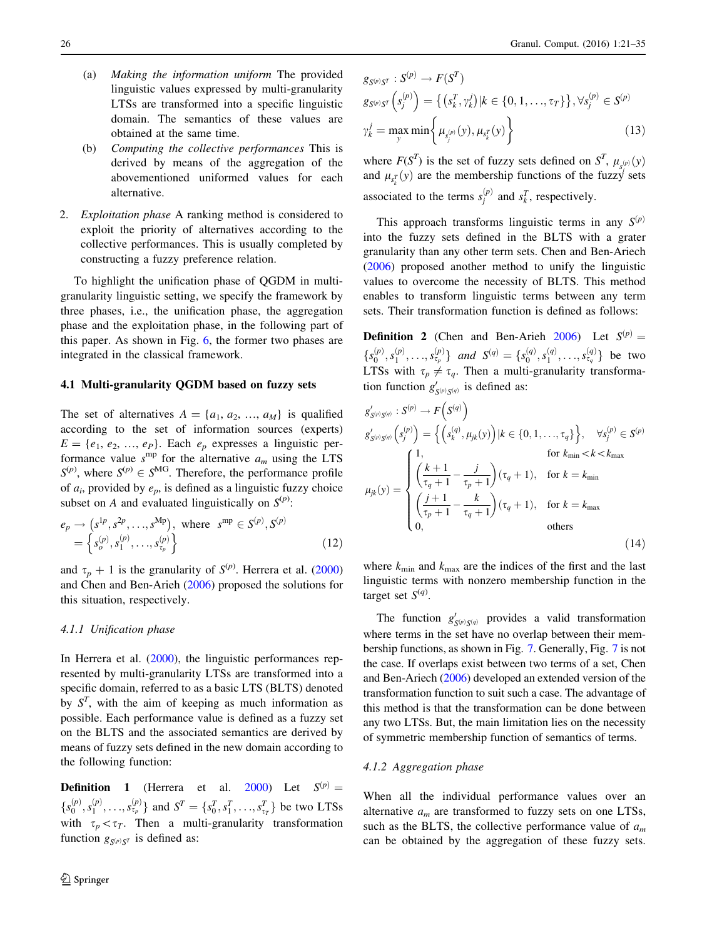- <span id="page-5-0"></span>(a) Making the information uniform The provided linguistic values expressed by multi-granularity LTSs are transformed into a specific linguistic domain. The semantics of these values are obtained at the same time.
- (b) Computing the collective performances This is derived by means of the aggregation of the abovementioned uniformed values for each alternative.
- 2. Exploitation phase A ranking method is considered to exploit the priority of alternatives according to the collective performances. This is usually completed by constructing a fuzzy preference relation.

To highlight the unification phase of QGDM in multigranularity linguistic setting, we specify the framework by three phases, i.e., the unification phase, the aggregation phase and the exploitation phase, in the following part of this paper. As shown in Fig. [6](#page-4-0), the former two phases are integrated in the classical framework.

#### 4.1 Multi-granularity QGDM based on fuzzy sets

The set of alternatives  $A = \{a_1, a_2, ..., a_M\}$  is qualified according to the set of information sources (experts)  $E = \{e_1, e_2, ..., e_p\}$ . Each  $e_p$  expresses a linguistic performance value  $s^{mp}$  for the alternative  $a_m$  using the LTS  $S^{(p)}$ , where  $S^{(p)} \in S^{MG}$ . Therefore, the performance profile of  $a_i$ , provided by  $e_n$ , is defined as a linguistic fuzzy choice subset on A and evaluated linguistically on  $S^{(p)}$ :

$$
e_p \to (s^{1p}, s^{2p}, \dots, s^{Mp}), \text{ where } s^{mp} \in S^{(p)}, S^{(p)} = \left\{ s_o^{(p)}, s_1^{(p)}, \dots, s_{\tau_p}^{(p)} \right\}
$$
(12)

and  $\tau_p + 1$  is the granularity of  $S^{(p)}$ . Herrera et al. ([2000\)](#page-13-0) and Chen and Ben-Arieh ([2006\)](#page-13-0) proposed the solutions for this situation, respectively.

#### 4.1.1 Unification phase

In Herrera et al. ([2000\)](#page-13-0), the linguistic performances represented by multi-granularity LTSs are transformed into a specific domain, referred to as a basic LTS (BLTS) denoted by  $S<sup>T</sup>$ , with the aim of keeping as much information as possible. Each performance value is defined as a fuzzy set on the BLTS and the associated semantics are derived by means of fuzzy sets defined in the new domain according to the following function:

**Definition 1** (Herrera et al. [2000](#page-13-0)) Let  $S^{(p)} =$  $\{s_0^{(p)}, s_1^{(p)}, \ldots, s_{\tau_p}^{(p)}\}$  and  $S^T = \{s_0^T, s_1^T, \ldots, s_{\tau_T}^T\}$  be two LTSs with  $\tau_p < \tau_T$ . Then a multi-granularity transformation function  $g_{S(p)S^T}$  is defined as:

$$
g_{S^{(p)}S^{T}} : S^{(p)} \to F(S^{T})
$$
  
\n
$$
g_{S^{(p)}S^{T}}(s_{j}^{(p)}) = \{(s_{k}^{T}, \gamma_{k}^{j}) | k \in \{0, 1, ..., \tau_{T}\}\}, \forall s_{j}^{(p)} \in S^{(p)}
$$
  
\n
$$
\gamma_{k}^{j} = \max_{y} \min \left\{\mu_{s_{j}^{(p)}}(y), \mu_{s_{k}^{T}}(y)\right\}
$$
\n(13)

where  $F(S^T)$  is the set of fuzzy sets defined on  $S^T$ ,  $\mu_{s_i^{(p)}}(y)$ and  $\mu_{s_k}(\mathbf{y})$  are the membership functions of the fuzzy sets associated to the terms  $s_j^{(p)}$  and  $s_k^T$ , respectively.

This approach transforms linguistic terms in any  $S^{(p)}$ into the fuzzy sets defined in the BLTS with a grater granularity than any other term sets. Chen and Ben-Ariech [\(2006](#page-13-0)) proposed another method to unify the linguistic values to overcome the necessity of BLTS. This method enables to transform linguistic terms between any term sets. Their transformation function is defined as follows:

**Definition 2** (Chen and Ben-Arieh [2006](#page-13-0)) Let  $S^{(p)}$  =  $\{s_0^{(p)}, s_1^{(p)}, \ldots, s_{\tau_p}^{(p)}\}$  and  $S^{(q)} = \{s_0^{(q)}, s_1^{(q)}, \ldots, s_{\tau_q}^{(q)}\}$  be two LTSs with  $\tau_p \neq \tau_q$ . Then a multi-granularity transformation function  $g'_{S^{(p)}S^{(q)}}$  is defined as:

$$
g'_{S^{(p)}S^{(q)}}: S^{(p)} \to F(S^{(q)})
$$
  
\n
$$
g'_{S^{(p)}S^{(q)}}(s_j^{(p)}) = \left\{ \left( s_k^{(q)}, \mu_{jk}(y) \right) | k \in \{0, 1, ..., \tau_q\} \right\}, \quad \forall s_j^{(p)} \in S^{(p)}
$$
  
\n
$$
\mu_{jk}(y) = \begin{cases}\n1, & \text{for } k_{\text{min}} < k < k_{\text{max}} \\
\left( \frac{k+1}{\tau_q + 1} - \frac{j}{\tau_p + 1} \right) (\tau_q + 1), & \text{for } k = k_{\text{min}} \\
\left( \frac{j+1}{\tau_p + 1} - \frac{k}{\tau_q + 1} \right) (\tau_q + 1), & \text{for } k = k_{\text{max}} \\
0, & \text{others}\n\end{cases}
$$
\n(14)

where  $k_{\text{min}}$  and  $k_{\text{max}}$  are the indices of the first and the last linguistic terms with nonzero membership function in the target set  $S^{(q)}$ .

The function  $g'_{S^{(p)}S^{(q)}}$  provides a valid transformation where terms in the set have no overlap between their membership functions, as shown in Fig. [7](#page-6-0). Generally, Fig. [7](#page-6-0) is not the case. If overlaps exist between two terms of a set, Chen and Ben-Ariech ([2006](#page-13-0)) developed an extended version of the transformation function to suit such a case. The advantage of this method is that the transformation can be done between any two LTSs. But, the main limitation lies on the necessity of symmetric membership function of semantics of terms.

#### 4.1.2 Aggregation phase

When all the individual performance values over an alternative  $a_m$  are transformed to fuzzy sets on one LTSs, such as the BLTS, the collective performance value of  $a_m$ can be obtained by the aggregation of these fuzzy sets.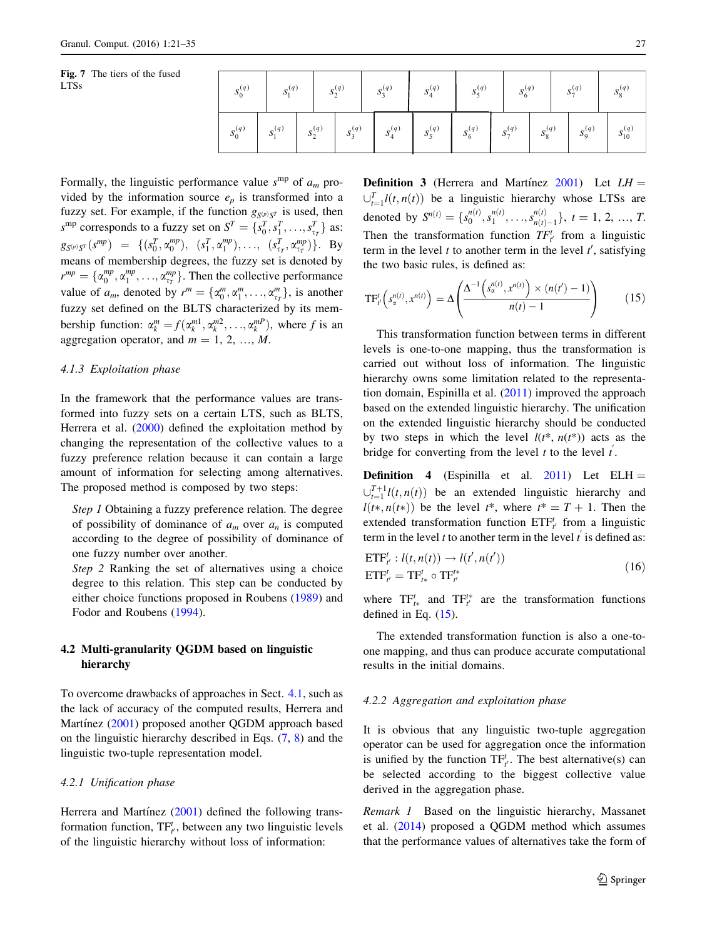<span id="page-6-0"></span>Fig. 7 The tiers of the fused LTSs

| $S_0^{(q)}$ | $S_1^{(q)}$ | $S_2^{(q)}$ | $S_3^{(q)}$ | $S_4^{(q)}$                                                                                                                                                                                                                                                 | $S_5^{(q)}$ | $S_6^{(q)}$ | $S_7^{(q)}$ | $S_8^{(q)}$    |
|-------------|-------------|-------------|-------------|-------------------------------------------------------------------------------------------------------------------------------------------------------------------------------------------------------------------------------------------------------------|-------------|-------------|-------------|----------------|
| $S_0^{(q)}$ |             |             |             | $S_1^{(q)} \quad\left  \quad S_2^{(q)} \quad\left  \quad S_3^{(q)} \quad\right  \quad S_4^{(q)} \quad\left  \quad S_5^{(q)} \quad\right  \quad S_6^{(q)} \quad\left  \quad S_7^{(q)} \quad\right  \quad S_8^{(q)} \quad\left  \quad S_9^{(q)} \quad\right $ |             |             |             | $S_{10}^{(q)}$ |

Formally, the linguistic performance value  $s^{\text{mp}}$  of  $a_m$  provided by the information source  $e_p$  is transformed into a fuzzy set. For example, if the function  $g_{S(p)S^T}$  is used, then  $s^{\text{mp}}$  corresponds to a fuzzy set on  $S^T = \{s_0^T, s_1^T, \ldots, s_{\tau_T}^T\}$  as:  $g_{S^{(p)}S^{T}}(s^{mp}) = \{ (s_0^{T}, \alpha_0^{mp}), (s_1^{T}, \alpha_1^{mp}), \ldots, (s_{\tau_T}^{T}, \alpha_{\tau_T}^{mp}) \}.$  By means of membership degrees, the fuzzy set is denoted by  $r^{mp} = \{\alpha_0^{mp}, \alpha_1^{mp}, \ldots, \alpha_{\tau_T}^{mp}\}.$  Then the collective performance value of  $a_m$ , denoted by  $r^m = \{\alpha_0^m, \alpha_1^m, \dots, \alpha_{\tau_T}^m\}$ , is another fuzzy set defined on the BLTS characterized by its membership function:  $\alpha_k^m = f(\alpha_k^{m_1}, \alpha_k^{m_2}, \dots, \alpha_k^{m_r})$ , where f is an aggregation operator, and  $m = 1, 2, ..., M$ .

#### 4.1.3 Exploitation phase

In the framework that the performance values are transformed into fuzzy sets on a certain LTS, such as BLTS, Herrera et al. ([2000\)](#page-13-0) defined the exploitation method by changing the representation of the collective values to a fuzzy preference relation because it can contain a large amount of information for selecting among alternatives. The proposed method is composed by two steps:

Step 1 Obtaining a fuzzy preference relation. The degree of possibility of dominance of  $a_m$  over  $a_n$  is computed according to the degree of possibility of dominance of one fuzzy number over another.

Step 2 Ranking the set of alternatives using a choice degree to this relation. This step can be conducted by either choice functions proposed in Roubens [\(1989](#page-13-0)) and Fodor and Roubens ([1994](#page-13-0)).

## 4.2 Multi-granularity QGDM based on linguistic hierarchy

To overcome drawbacks of approaches in Sect. [4.1](#page-5-0), such as the lack of accuracy of the computed results, Herrera and Martínez ([2001\)](#page-13-0) proposed another QGDM approach based on the linguistic hierarchy described in Eqs. [\(7](#page-3-0), [8\)](#page-3-0) and the linguistic two-tuple representation model.

## 4.2.1 Unification phase

Herrera and Martinez  $(2001)$  $(2001)$  defined the following transformation function,  $TF'_{t'}$ , between any two linguistic levels of the linguistic hierarchy without loss of information:

**Definition 3** (Herrera and Martinez [2001\)](#page-13-0) Let  $LH =$  $\bigcup_{t=1}^{T} l(t, n(t))$  be a linguistic hierarchy whose LTSs are denoted by  $S^{n(t)} = \{s_0^{n(t)}, s_1^{n(t)}, \ldots, s_{n(t)-1}^{n(t)}\}$ ,  $t = 1, 2, \ldots, T$ . Then the transformation function  $TF^t_{t'}$  from a linguistic term in the level  $t$  to another term in the level  $t'$ , satisfying the two basic rules, is defined as:

$$
\mathrm{TF}_{t'}^{t}\left(s_{\alpha}^{n(t)}, x^{n(t)}\right) = \Delta\left(\frac{\Delta^{-1}\left(s_{\alpha}^{n(t)}, x^{n(t)}\right) \times (n(t') - 1)}{n(t) - 1}\right) \tag{15}
$$

This transformation function between terms in different levels is one-to-one mapping, thus the transformation is carried out without loss of information. The linguistic hierarchy owns some limitation related to the representation domain, Espinilla et al. ([2011\)](#page-13-0) improved the approach based on the extended linguistic hierarchy. The unification on the extended linguistic hierarchy should be conducted by two steps in which the level  $l(t^*, n(t^*))$  acts as the bridge for converting from the level t to the level  $t'$ .

**Definition 4** (Espinilla et al. [2011](#page-13-0)) Let  $E L H =$  $\bigcup_{t=1}^{T+1} l(t,n(t))$  be an extended linguistic hierarchy and  $l(t*, n(t*))$  be the level  $t^*$ , where  $t^* = T + 1$ . Then the extended transformation function  $\text{ETF}_{t'}^t$  from a linguistic term in the level *t* to another term in the level  $t'$  is defined as:

$$
ETF'_{t'}: l(t, n(t)) \to l(t', n(t'))
$$
  
\n
$$
ETF'_{t'} = TF'_{t*} \circ TF'^*_{t'}
$$
\n(16)

where  $TF<sub>t*</sub><sup>t</sup>$  and  $TF<sub>t'</sub><sup>t*</sup>$  are the transformation functions defined in Eq.  $(15)$ .

The extended transformation function is also a one-toone mapping, and thus can produce accurate computational results in the initial domains.

# 4.2.2 Aggregation and exploitation phase

It is obvious that any linguistic two-tuple aggregation operator can be used for aggregation once the information is unified by the function  $TF^t_{t'}$ . The best alternative(s) can be selected according to the biggest collective value derived in the aggregation phase.

Remark 1 Based on the linguistic hierarchy, Massanet et al. [\(2014](#page-13-0)) proposed a QGDM method which assumes that the performance values of alternatives take the form of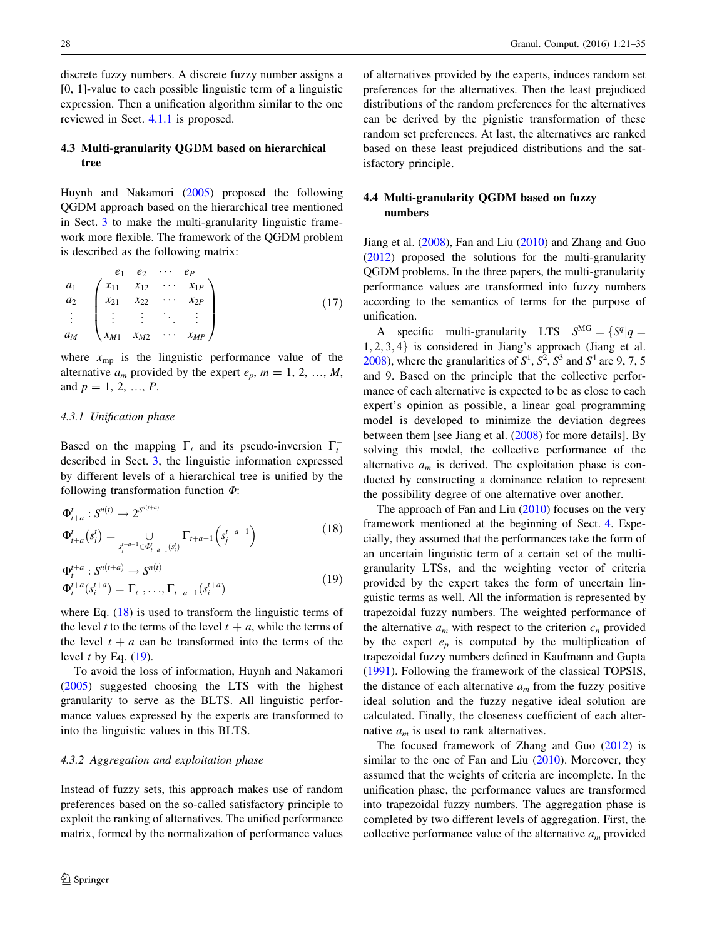discrete fuzzy numbers. A discrete fuzzy number assigns a [0, 1]-value to each possible linguistic term of a linguistic expression. Then a unification algorithm similar to the one reviewed in Sect. [4.1.1](#page-5-0) is proposed.

# 4.3 Multi-granularity QGDM based on hierarchical tree

Huynh and Nakamori [\(2005\)](#page-13-0) proposed the following QGDM approach based on the hierarchical tree mentioned in Sect. [3](#page-3-0) to make the multi-granularity linguistic framework more flexible. The framework of the QGDM problem is described as the following matrix:

$$
\begin{pmatrix}\n e_1 & e_2 & \cdots & e_P \\
 a_1 & x_{11} & x_{12} & \cdots & x_{1P} \\
 x_{21} & x_{22} & \cdots & x_{2P} \\
 \vdots & \vdots & \ddots & \vdots \\
 a_M & x_{M1} & x_{M2} & \cdots & x_{MP}\n\end{pmatrix}
$$
\n(17)

where  $x_{\text{mp}}$  is the linguistic performance value of the alternative  $a_m$  provided by the expert  $e_p$ ,  $m = 1, 2, ..., M$ , and  $p = 1, 2, ..., P$ .

#### 4.3.1 Unification phase

Based on the mapping  $\Gamma_t$  and its pseudo-inversion  $\Gamma_t^$ described in Sect. [3,](#page-3-0) the linguistic information expressed by different levels of a hierarchical tree is unified by the following transformation function  $\Phi$ :

$$
\Phi_{t+a}^{t}: S^{n(t)} \to 2^{S^{n(t+a)}} \n\Phi_{t+a}^{t}(s_i^{t}) = \bigcup_{s_j^{t+a-1} \in \Phi_{t+a-1}^{t}(s_i^{t})} \Gamma_{t+a-1}\left(s_j^{t+a-1}\right)
$$
\n(18)

$$
\Phi_t^{t+a} : S^{n(t+a)} \to S^{n(t)} \tag{19}
$$
\n
$$
\Phi_t^{t+a}(s_t^{t+a}) = \Gamma_t^-, \dots, \Gamma_{t+a-1}^-(s_t^{t+a})
$$

where Eq.  $(18)$  is used to transform the linguistic terms of the level t to the terms of the level  $t + a$ , while the terms of the level  $t + a$  can be transformed into the terms of the level t by Eq.  $(19)$ .

To avoid the loss of information, Huynh and Nakamori [\(2005](#page-13-0)) suggested choosing the LTS with the highest granularity to serve as the BLTS. All linguistic performance values expressed by the experts are transformed to into the linguistic values in this BLTS.

#### 4.3.2 Aggregation and exploitation phase

Instead of fuzzy sets, this approach makes use of random preferences based on the so-called satisfactory principle to exploit the ranking of alternatives. The unified performance matrix, formed by the normalization of performance values

of alternatives provided by the experts, induces random set preferences for the alternatives. Then the least prejudiced distributions of the random preferences for the alternatives can be derived by the pignistic transformation of these random set preferences. At last, the alternatives are ranked based on these least prejudiced distributions and the satisfactory principle.

### 4.4 Multi-granularity QGDM based on fuzzy numbers

Jiang et al. ([2008\)](#page-13-0), Fan and Liu ([2010\)](#page-13-0) and Zhang and Guo [\(2012](#page-14-0)) proposed the solutions for the multi-granularity QGDM problems. In the three papers, the multi-granularity performance values are transformed into fuzzy numbers according to the semantics of terms for the purpose of unification.

A specific multi-granularity LTS  $S^{MG} = \{S^q | q =$  $1, 2, 3, 4$  is considered in Jiang's approach (Jiang et al. [2008](#page-13-0)), where the granularities of  $S^1$ ,  $S^2$ ,  $S^3$  and  $S^4$  are 9, 7, 5 and 9. Based on the principle that the collective performance of each alternative is expected to be as close to each expert's opinion as possible, a linear goal programming model is developed to minimize the deviation degrees between them [see Jiang et al. ([2008\)](#page-13-0) for more details]. By solving this model, the collective performance of the alternative  $a_m$  is derived. The exploitation phase is conducted by constructing a dominance relation to represent the possibility degree of one alternative over another.

The approach of Fan and Liu ([2010](#page-13-0)) focuses on the very framework mentioned at the beginning of Sect. [4.](#page-4-0) Especially, they assumed that the performances take the form of an uncertain linguistic term of a certain set of the multigranularity LTSs, and the weighting vector of criteria provided by the expert takes the form of uncertain linguistic terms as well. All the information is represented by trapezoidal fuzzy numbers. The weighted performance of the alternative  $a_m$  with respect to the criterion  $c_n$  provided by the expert  $e_p$  is computed by the multiplication of trapezoidal fuzzy numbers defined in Kaufmann and Gupta [\(1991](#page-13-0)). Following the framework of the classical TOPSIS, the distance of each alternative  $a_m$  from the fuzzy positive ideal solution and the fuzzy negative ideal solution are calculated. Finally, the closeness coefficient of each alternative  $a_m$  is used to rank alternatives.

The focused framework of Zhang and Guo ([2012\)](#page-14-0) is similar to the one of Fan and Liu  $(2010)$  $(2010)$ . Moreover, they assumed that the weights of criteria are incomplete. In the unification phase, the performance values are transformed into trapezoidal fuzzy numbers. The aggregation phase is completed by two different levels of aggregation. First, the collective performance value of the alternative  $a_m$  provided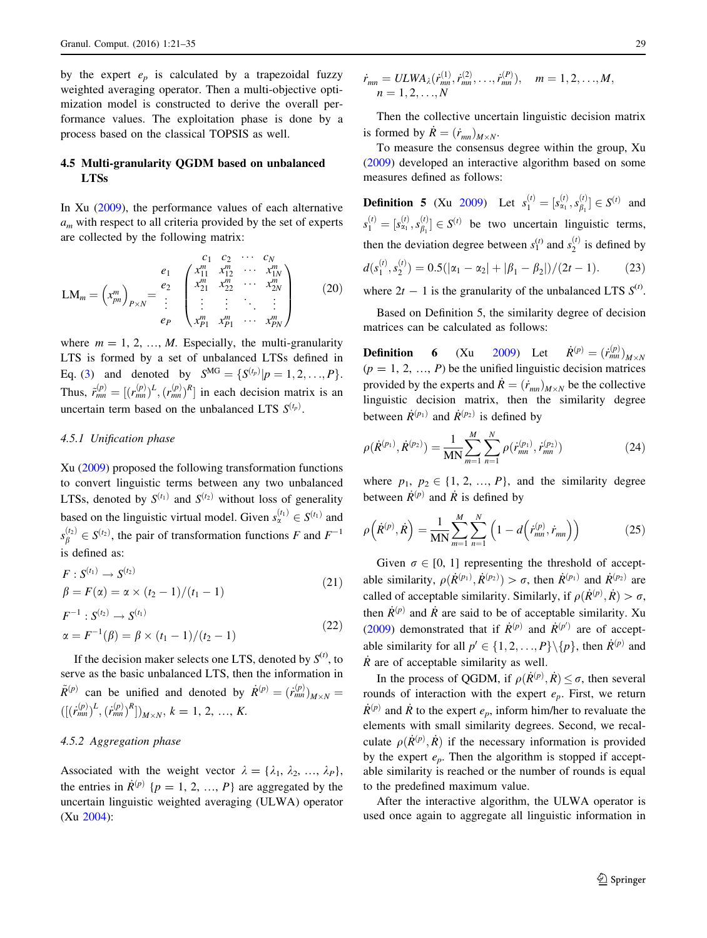by the expert  $e_p$  is calculated by a trapezoidal fuzzy weighted averaging operator. Then a multi-objective optimization model is constructed to derive the overall performance values. The exploitation phase is done by a process based on the classical TOPSIS as well.

# 4.5 Multi-granularity QGDM based on unbalanced LTSs

In Xu ([2009\)](#page-14-0), the performance values of each alternative  $a<sub>m</sub>$  with respect to all criteria provided by the set of experts are collected by the following matrix:

$$
LM_m = \left(x_{pn}^m\right)_{P \times N} = \begin{pmatrix} c_1 & c_2 & \cdots & c_N \\ e_1 & \begin{pmatrix} x_{11}^m & x_{12}^m & \cdots & x_{1N}^m \\ x_{21}^m & x_{22}^m & \cdots & x_{2N}^m \\ \vdots & \vdots & \vdots & \ddots & \vdots \\ e_P & \begin{pmatrix} x_{p1}^m & x_{p1}^m & \cdots & x_{pN}^m \end{pmatrix} \end{pmatrix}
$$
 (20)

where  $m = 1, 2, ..., M$ . Especially, the multi-granularity LTS is formed by a set of unbalanced LTSs defined in Eq. [\(3](#page-1-0)) and denoted by  $S^{MG} = \{S^{(t_p)} | p = 1, 2, ..., P\}.$ Thus,  $\tilde{r}_{mn}^{(p)} = [(r_{mn}^{(p)})^L, (r_{mn}^{(p)})^R]$  in each decision matrix is an uncertain term based on the unbalanced LTS  $S^{(t_p)}$ .

#### 4.5.1 Unification phase

Xu [\(2009](#page-14-0)) proposed the following transformation functions to convert linguistic terms between any two unbalanced LTSs, denoted by  $S^{(t_1)}$  and  $S^{(t_2)}$  without loss of generality based on the linguistic virtual model. Given  $s_\alpha^{(t_1)} \in S^{(t_1)}$  and  $s_{\beta}^{(t_2)} \in S^{(t_2)}$ , the pair of transformation functions F and  $F^{-1}$ is defined as:

$$
F: S^{(t_1)} \to S^{(t_2)} \n\beta = F(\alpha) = \alpha \times (t_2 - 1)/(t_1 - 1) \nF^{-1}: S^{(t_2)} \to S^{(t_1)}
$$
\n(23)

$$
\alpha = F^{-1}(\beta) = \beta \times (t_1 - 1)/(t_2 - 1)
$$
\n(22)

If the decision maker selects one LTS, denoted by  $S^{(t)}$ , to serve as the basic unbalanced LTS, then the information in  $\tilde{R}^{(p)}$  can be unified and denoted by  $\dot{R}^{(p)} = (\dot{r}_{mn}^{(p)})_{M \times N} =$  $([(\dot{r}_{mn}^{(p)})^L, (\dot{r}_{mn}^{(p)})^R])_{M \times N}, k = 1, 2, ..., K.$ 

## 4.5.2 Aggregation phase

Associated with the weight vector  $\lambda = {\lambda_1, \lambda_2, ..., \lambda_P},$ the entries in  $\dot{R}^{(p)}$  {p = 1, 2, …, P} are aggregated by the uncertain linguistic weighted averaging (ULWA) operator (Xu [2004\)](#page-14-0):

$$
\dot{r}_{mn} = ULWA_{\lambda}(\dot{r}_{mn}^{(1)}, \dot{r}_{mn}^{(2)}, \dots, \dot{r}_{mn}^{(P)}), \quad m = 1, 2, \dots, M, n = 1, 2, \dots, N
$$

Then the collective uncertain linguistic decision matrix is formed by  $\dot{R} = (\dot{r}_{mn})_{M \times N}$ .

To measure the consensus degree within the group, Xu [\(2009](#page-14-0)) developed an interactive algorithm based on some measures defined as follows:

**Definition 5** (Xu [2009](#page-14-0)) Let  $s_1^{(t)} = [s_{\alpha_1}^{(t)}, s_{\beta_1}^{(t)}]$  $\begin{bmatrix} b_1^{(t)} \\ b_1 \end{bmatrix} \in S^{(t)}$  and  $s_1^{(t)} = [s_{\alpha_1}^{(t)}, s_{\beta_1}^{(t)}]$  $\begin{aligned} \beta_1^{(t)} \in S^{(t)} \end{aligned}$  be two uncertain linguistic terms, then the deviation degree between  $s_1^{(t)}$  and  $s_2^{(t)}$  is defined by  $d(s_1^{(t)}, s_2^{(t)}) = 0.5(|\alpha_1 - \alpha_2| + |\beta_1 - \beta_2|)/(2t - 1).$  (23)

where  $2t - 1$  is the granularity of the unbalanced LTS  $S<sup>(t)</sup>$ .

Based on Definition 5, the similarity degree of decision matrices can be calculated as follows:

**Definition** 6 (Xu [2009](#page-14-0)) Let  $\dot{R}^{(p)} = (\dot{r}_{mn}^{(p)})_{M \times N}$  $(p = 1, 2, ..., P)$  be the unified linguistic decision matrices provided by the experts and  $\dot{R} = (\dot{r}_{mn})_{M \times N}$  be the collective linguistic decision matrix, then the similarity degree between  $\dot{R}^{(p_1)}$  and  $\dot{R}^{(p_2)}$  is defined by

$$
\rho(\dot{R}^{(p_1)}, \dot{R}^{(p_2)}) = \frac{1}{MN} \sum_{m=1}^{M} \sum_{n=1}^{N} \rho(\dot{r}_{mn}^{(p_1)}, \dot{r}_{mn}^{(p_2)})
$$
(24)

where  $p_1, p_2 \in \{1, 2, ..., P\}$ , and the similarity degree between  $\dot{R}^{(p)}$  and  $\dot{R}$  is defined by

$$
\rho\left(\dot{R}^{(p)},\dot{R}\right) = \frac{1}{MN} \sum_{m=1}^{M} \sum_{n=1}^{N} \left(1 - d\left(\dot{r}_{mn}^{(p)},\dot{r}_{mn}\right)\right)
$$
(25)

Given  $\sigma \in [0, 1]$  representing the threshold of acceptable similarity,  $\rho(\dot{R}^{(p_1)}, \dot{R}^{(p_2)}) > \sigma$ , then  $\dot{R}^{(p_1)}$  and  $\dot{R}^{(p_2)}$  are called of acceptable similarity. Similarly, if  $\rho(\dot{R}^{(p)}, \dot{R}) > \sigma$ , then  $\dot{R}^{(p)}$  and  $\dot{R}$  are said to be of acceptable similarity. Xu [\(2009](#page-14-0)) demonstrated that if  $\dot{R}^{(p)}$  and  $\dot{R}^{(p')}$  are of acceptable similarity for all  $p' \in \{1, 2, \ldots, P\} \setminus \{p\}$ , then  $\dot{R}^{(p)}$  and  $\dot{R}$  are of acceptable similarity as well.

In the process of QGDM, if  $\rho(\dot{R}^{(p)}, \dot{R}) \leq \sigma$ , then several rounds of interaction with the expert  $e_n$ . First, we return  $\dot{R}^{(p)}$  and  $\dot{R}$  to the expert  $e_p$ , inform him/her to revaluate the elements with small similarity degrees. Second, we recalculate  $\rho(\dot{R}^{(p)}, \dot{R})$  if the necessary information is provided by the expert  $e_p$ . Then the algorithm is stopped if acceptable similarity is reached or the number of rounds is equal to the predefined maximum value.

After the interactive algorithm, the ULWA operator is used once again to aggregate all linguistic information in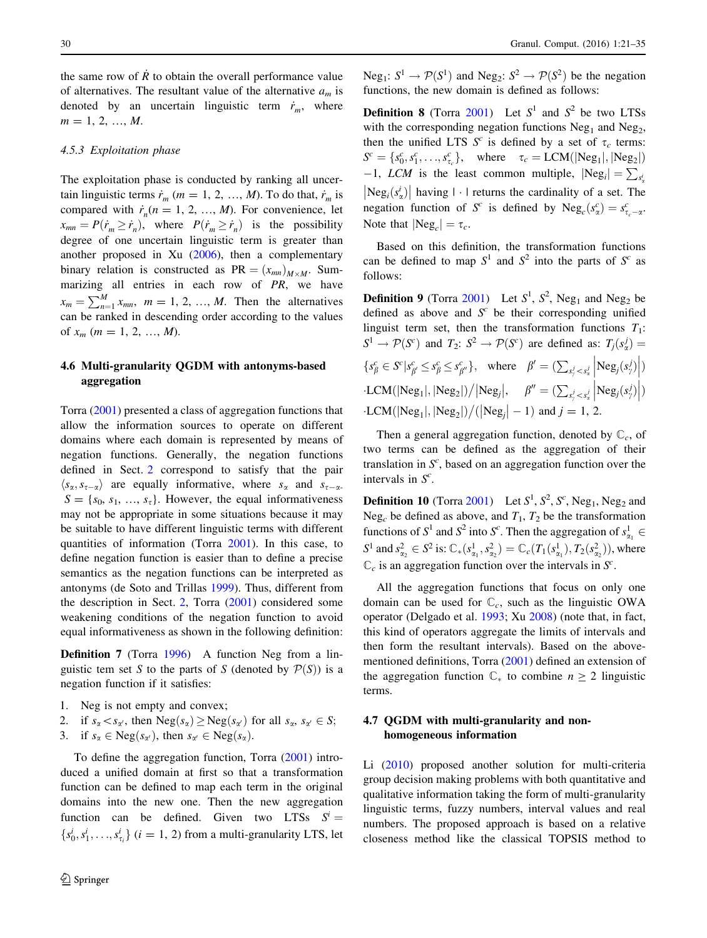the same row of  $\vec{R}$  to obtain the overall performance value of alternatives. The resultant value of the alternative  $a_m$  is denoted by an uncertain linguistic term  $\dot{r}_m$ , where  $m = 1, 2, ..., M$ .

#### 4.5.3 Exploitation phase

The exploitation phase is conducted by ranking all uncertain linguistic terms  $r_m$  ( $m = 1, 2, ..., M$ ). To do that,  $r_m$  is compared with  $\dot{r}_n(n = 1, 2, ..., M)$ . For convenience, let  $x_{mn} = P(\dot{r}_m \ge \dot{r}_n)$ , where  $P(\dot{r}_m \ge \dot{r}_n)$  is the possibility degree of one uncertain linguistic term is greater than another proposed in Xu  $(2006)$  $(2006)$ , then a complementary binary relation is constructed as  $PR = (x_{mn})_{M \times M}$ . Summarizing all entries in each row of PR, we have  $x_m = \sum_{n=1}^{M} x_{mn}$ ,  $m = 1, 2, ..., M$ . Then the alternatives can be ranked in descending order according to the values of  $x_m$  (*m* = 1, 2, ..., *M*).

# 4.6 Multi-granularity QGDM with antonyms-based aggregation

Torra ([2001\)](#page-13-0) presented a class of aggregation functions that allow the information sources to operate on different domains where each domain is represented by means of negation functions. Generally, the negation functions defined in Sect. [2](#page-1-0) correspond to satisfy that the pair  $\langle s_\alpha, s_{\tau-\alpha} \rangle$  are equally informative, where  $s_\alpha$  and  $s_{\tau-\alpha}$ - $S = \{s_0, s_1, ..., s_{\tau}\}\$ . However, the equal informativeness may not be appropriate in some situations because it may be suitable to have different linguistic terms with different quantities of information (Torra [2001](#page-13-0)). In this case, to define negation function is easier than to define a precise semantics as the negation functions can be interpreted as antonyms (de Soto and Trillas [1999](#page-13-0)). Thus, different from the description in Sect. [2](#page-1-0), Torra ([2001\)](#page-13-0) considered some weakening conditions of the negation function to avoid equal informativeness as shown in the following definition:

Definition 7 (Torra [1996\)](#page-13-0) A function Neg from a linguistic tem set S to the parts of S (denoted by  $\mathcal{P}(S)$ ) is a negation function if it satisfies:

1. Neg is not empty and convex;

2. if  $s_\alpha < s_{\alpha'}$ , then  $Neg(s_\alpha) \geq Neg(s_{\alpha'})$  for all  $s_\alpha, s_{\alpha'} \in S$ ;

3. if  $s_{\alpha} \in \text{Neg}(s_{\alpha'})$ , then  $s_{\alpha'} \in \text{Neg}(s_{\alpha})$ .

To define the aggregation function, Torra [\(2001](#page-13-0)) introduced a unified domain at first so that a transformation function can be defined to map each term in the original domains into the new one. Then the new aggregation function can be defined. Given two LTSs  $S^i =$  $\{s_0^i, s_1^i, \ldots, s_{\tau_i}^i\}$  ( $i = 1, 2$ ) from a multi-granularity LTS, let

Neg<sub>1</sub>:  $S^1 \rightarrow \mathcal{P}(S^1)$  and Neg<sub>2</sub>:  $S^2 \rightarrow \mathcal{P}(S^2)$  be the negation functions, the new domain is defined as follows:

**Definition 8** (Torra [2001](#page-13-0)) Let  $S^1$  and  $S^2$  be two LTSs with the corresponding negation functions  $Neg<sub>1</sub>$  and  $Neg<sub>2</sub>$ , then the unified LTS  $S^c$  is defined by a set of  $\tau_c$  terms:  $S^c = \{s_0^c, s_1^c, \ldots, s_{\tau_c}^c\}, \quad \text{where} \quad \tau_c = \text{LCM}(|\text{Neg}_1|, |\text{Neg}_2|)$  $-1$ , *LCM* is the least common multiple,  $|\text{Neg}_i| = \sum_{s_i'}$  $|\text{Neg}_i(s^i_\alpha)|$  having  $|\cdot|$  returns the cardinality of a set. The negation function of S<sup>c</sup> is defined by  $Neg_c(s_\alpha^c) = s_{\tau_c-\alpha}^c$ . Note that  $|\text{Neg}_c| = \tau_c$ .

Based on this definition, the transformation functions can be defined to map  $S^1$  and  $S^2$  into the parts of  $S^c$  as follows:

**Definition 9** (Torra [2001](#page-13-0)) Let  $S^1$ ,  $S^2$ , Neg<sub>1</sub> and Neg<sub>2</sub> be defined as above and  $S<sup>c</sup>$  be their corresponding unified linguist term set, then the transformation functions  $T_1$ :  $S^1 \to \mathcal{P}(S^c)$  and  $T_2$ :  $S^2 \to \mathcal{P}(S^c)$  are defined as:  $T_j(s^j_\alpha)$  =  $\{s_{\beta}^c \in S^c | s_{\beta'}^c \leq s_{\beta}^c \leq s_{\beta''}^c\}, \text{ where } \beta' = (\sum_{s_j^j < s_x^j} |\text{Neg}_j(s_j^j)|$  $\begin{array}{c} \begin{array}{c} \begin{array}{c} \end{array} \\ \begin{array}{c} \end{array} \end{array} \end{array}$  $\vert$  $\cdot$ LCM $(|Neg_1|, |Neg_2|)/|Neg_j|, \quad \beta'' = (\sum_{s_j^j < s_x^j} |Neg_j(s_j^j)|)$  $\frac{1}{\sqrt{2}}$  $\bigg|$  $LCM(|Neg_1|, |Neg_2|)/(|Neg_j|-1)$  and  $j = 1, 2$ .

Then a general aggregation function, denoted by  $\mathbb{C}_c$ , of two terms can be defined as the aggregation of their translation in  $S<sup>c</sup>$ , based on an aggregation function over the intervals in  $S^c$ .

**Definition 10** (Torra [2001](#page-13-0)) Let  $S^1$ ,  $S^2$ ,  $S^c$ , Neg<sub>1</sub>, Neg<sub>2</sub> and Neg<sub>c</sub> be defined as above, and  $T_1$ ,  $T_2$  be the transformation functions of  $S^1$  and  $S^2$  into  $S^c$ . Then the aggregation of  $s^1_{\alpha_1} \in$  $S^1$  and  $s^2_{\alpha_2} \in S^2$  is:  $\mathbb{C}_*(s^1_{\alpha_1}, s^2_{\alpha_2}) = \mathbb{C}_c(T_1(s^1_{\alpha_1}), T_2(s^2_{\alpha_2}))$ , where  $\mathbb{C}_c$  is an aggregation function over the intervals in  $S^c$ .

All the aggregation functions that focus on only one domain can be used for  $\mathbb{C}_c$ , such as the linguistic OWA operator (Delgado et al. [1993](#page-13-0); Xu [2008\)](#page-14-0) (note that, in fact, this kind of operators aggregate the limits of intervals and then form the resultant intervals). Based on the abovementioned definitions, Torra ([2001\)](#page-13-0) defined an extension of the aggregation function  $\mathbb{C}_{*}$  to combine  $n \geq 2$  linguistic terms.

## 4.7 QGDM with multi-granularity and nonhomogeneous information

Li ([2010\)](#page-13-0) proposed another solution for multi-criteria group decision making problems with both quantitative and qualitative information taking the form of multi-granularity linguistic terms, fuzzy numbers, interval values and real numbers. The proposed approach is based on a relative closeness method like the classical TOPSIS method to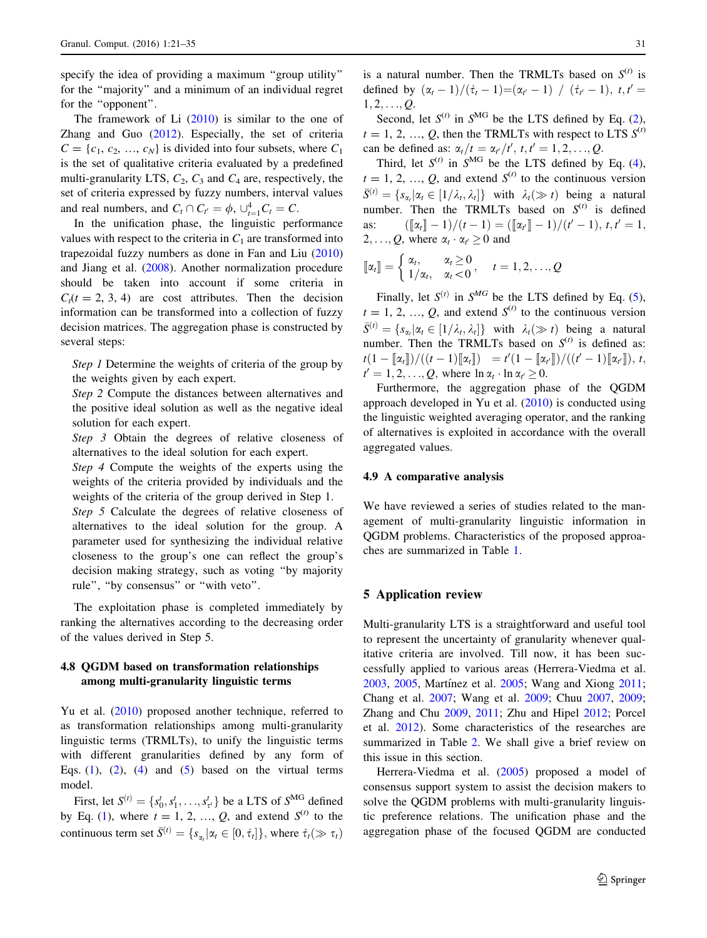<span id="page-10-0"></span>specify the idea of providing a maximum ''group utility'' for the ''majority'' and a minimum of an individual regret for the ''opponent''.

The framework of Li  $(2010)$  $(2010)$  is similar to the one of Zhang and Guo [\(2012](#page-14-0)). Especially, the set of criteria  $C = \{c_1, c_2, ..., c_N\}$  is divided into four subsets, where  $C_1$ is the set of qualitative criteria evaluated by a predefined multi-granularity LTS,  $C_2$ ,  $C_3$  and  $C_4$  are, respectively, the set of criteria expressed by fuzzy numbers, interval values and real numbers, and  $C_t \cap C_{t'} = \phi$ ,  $\bigcup_{t=1}^{4} C_t = C$ .

In the unification phase, the linguistic performance values with respect to the criteria in  $C_1$  are transformed into trapezoidal fuzzy numbers as done in Fan and Liu ([2010\)](#page-13-0) and Jiang et al. ([2008\)](#page-13-0). Another normalization procedure should be taken into account if some criteria in  $C_t(t = 2, 3, 4)$  are cost attributes. Then the decision information can be transformed into a collection of fuzzy decision matrices. The aggregation phase is constructed by several steps:

Step 1 Determine the weights of criteria of the group by the weights given by each expert.

Step 2 Compute the distances between alternatives and the positive ideal solution as well as the negative ideal solution for each expert.

Step 3 Obtain the degrees of relative closeness of alternatives to the ideal solution for each expert.

Step 4 Compute the weights of the experts using the weights of the criteria provided by individuals and the weights of the criteria of the group derived in Step 1.

Step 5 Calculate the degrees of relative closeness of alternatives to the ideal solution for the group. A parameter used for synthesizing the individual relative closeness to the group's one can reflect the group's decision making strategy, such as voting ''by majority rule", "by consensus" or "with veto".

The exploitation phase is completed immediately by ranking the alternatives according to the decreasing order of the values derived in Step 5.

# 4.8 QGDM based on transformation relationships among multi-granularity linguistic terms

Yu et al. ([2010\)](#page-14-0) proposed another technique, referred to as transformation relationships among multi-granularity linguistic terms (TRMLTs), to unify the linguistic terms with different granularities defined by any form of Eqs.  $(1)$  $(1)$ ,  $(2)$  $(2)$ ,  $(4)$  $(4)$  and  $(5)$  $(5)$  based on the virtual terms model.

First, let  $S^{(t)} = \{s_0^t, s_1^t, \ldots, s_{\tau^t}^t\}$  be a LTS of  $S^{\text{MG}}$  defined by Eq. ([1\)](#page-1-0), where  $t = 1, 2, ..., Q$ , and extend  $S^{(t)}$  to the continuous term set  $\bar{S}^{(t)} = \{s_{\alpha_t} | \alpha_t \in [0, \dot{\tau}_t] \}$ , where  $\dot{\tau}_t (\gg \tau_t)$  is a natural number. Then the TRMLTs based on  $S^{(t)}$  is defined by  $(\alpha_t - 1) / (\dot{\tau}_t - 1) = (\alpha_{t'} - 1) / (\dot{\tau}_{t'} - 1), t, t' =$  $1, 2, \ldots, Q.$ 

Second, let  $S^{(t)}$  in  $S^{MG}$  be the LTS defined by Eq. [\(2](#page-1-0)),  $t = 1, 2, ..., Q$ , then the TRMLTs with respect to LTS  $S^{(t)}$ can be defined as:  $\alpha_t/t = \alpha_{t'} / t'$ ,  $t, t' = 1, 2, \ldots, Q$ .

Third, let  $S^{(t)}$  in  $S^{MG}$  be the LTS defined by Eq. [\(4](#page-2-0)),  $t = 1, 2, ..., Q$ , and extend  $S^{(t)}$  to the continuous version  $\bar{S}^{(t)} = \{s_{\alpha_t} | \alpha_t \in [1/\lambda_t, \lambda_t] \}$  with  $\lambda_t(\gg t)$  being a natural number. Then the TRMLTs based on  $S^{(t)}$  is defined as:  $([\![\alpha_t]\!] - 1)/(t - 1) = ([\![\alpha_{t'}]\!] - 1)/(t' - 1), t, t' = 1,$  $2, \ldots, Q$ , where  $\alpha_t \cdot \alpha_{t'} \geq 0$  and

$$
\llbracket \alpha_t \rrbracket = \begin{cases} \alpha_t, & \alpha_t \geq 0 \\ 1/\alpha_t, & \alpha_t < 0 \end{cases}, \quad t = 1, 2, \dots, Q
$$

Finally, let  $S^{(t)}$  in  $S^{MG}$  be the LTS defined by Eq. [\(5](#page-2-0)),  $t = 1, 2, ..., Q$ , and extend  $S<sup>(t)</sup>$  to the continuous version  $\bar{S}^{(t)} = \{s_{\alpha_t} | \alpha_t \in [1/\lambda_t, \lambda_t] \}$  with  $\lambda_t(\gg t)$  being a natural number. Then the TRMLTs based on  $S^{(t)}$  is defined as:  $t(1 - \llbracket \alpha_t \rrbracket)/((t-1)\llbracket \alpha_t \rrbracket) = t'(1 - \llbracket \alpha_{t'} \rrbracket)/(t'-1)\llbracket \alpha_{t'} \rrbracket), t,$  $t' = 1, 2, \ldots, Q$ , where  $\ln \alpha_t \cdot \ln \alpha_{t'} \ge 0$ .

Furthermore, the aggregation phase of the QGDM approach developed in Yu et al. [\(2010](#page-14-0)) is conducted using the linguistic weighted averaging operator, and the ranking of alternatives is exploited in accordance with the overall aggregated values.

#### 4.9 A comparative analysis

We have reviewed a series of studies related to the management of multi-granularity linguistic information in QGDM problems. Characteristics of the proposed approaches are summarized in Table [1](#page-11-0).

# 5 Application review

Multi-granularity LTS is a straightforward and useful tool to represent the uncertainty of granularity whenever qualitative criteria are involved. Till now, it has been successfully applied to various areas (Herrera-Viedma et al. [2003](#page-13-0), [2005](#page-13-0), Martínez et al. [2005;](#page-13-0) Wang and Xiong [2011](#page-13-0); Chang et al. [2007;](#page-13-0) Wang et al. [2009](#page-14-0); Chuu [2007,](#page-13-0) [2009](#page-13-0); Zhang and Chu [2009](#page-14-0), [2011;](#page-14-0) Zhu and Hipel [2012;](#page-14-0) Porcel et al. [2012](#page-13-0)). Some characteristics of the researches are summarized in Table [2](#page-11-0). We shall give a brief review on this issue in this section.

Herrera-Viedma et al. ([2005\)](#page-13-0) proposed a model of consensus support system to assist the decision makers to solve the QGDM problems with multi-granularity linguistic preference relations. The unification phase and the aggregation phase of the focused QGDM are conducted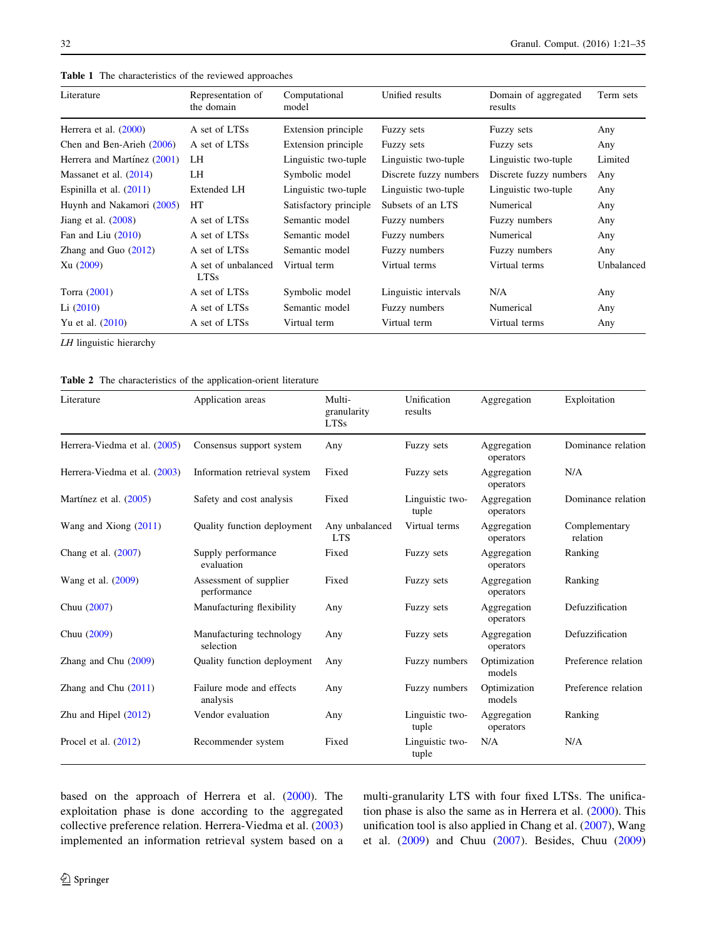<span id="page-11-0"></span>Table 1 The characteristics of the reviewed approaches

| Literature                  | Representation of<br>the domain    | Computational<br>model | Unified results        | Domain of aggregated<br>results | Term sets  |
|-----------------------------|------------------------------------|------------------------|------------------------|---------------------------------|------------|
| Herrera et al. $(2000)$     | A set of LTSs                      | Extension principle    | Fuzzy sets             | Fuzzy sets                      | Any        |
| Chen and Ben-Arieh (2006)   | A set of LTSs                      | Extension principle    | Fuzzy sets             | Fuzzy sets                      | Any        |
| Herrera and Martínez (2001) | LH                                 | Linguistic two-tuple   | Linguistic two-tuple   | Linguistic two-tuple            | Limited    |
| Massanet et al. $(2014)$    | LH                                 | Symbolic model         | Discrete fuzzy numbers | Discrete fuzzy numbers          | Any        |
| Espinilla et al. $(2011)$   | Extended LH                        | Linguistic two-tuple   | Linguistic two-tuple   | Linguistic two-tuple            | Any        |
| Huynh and Nakamori (2005)   | HT                                 | Satisfactory principle | Subsets of an LTS      | Numerical                       | Any        |
| Jiang et al. $(2008)$       | A set of LTSs                      | Semantic model         | Fuzzy numbers          | Fuzzy numbers                   | Any        |
| Fan and Liu $(2010)$        | A set of LTSs                      | Semantic model         | Fuzzy numbers          | Numerical                       | Any        |
| Zhang and Guo $(2012)$      | A set of LTSs                      | Semantic model         | Fuzzy numbers          | Fuzzy numbers                   | Any        |
| Xu (2009)                   | A set of unbalanced<br><b>LTSs</b> | Virtual term           | Virtual terms          | Virtual terms                   | Unbalanced |
| Torra (2001)                | A set of LTSs                      | Symbolic model         | Linguistic intervals   | N/A                             | Any        |
| Li $(2010)$                 | A set of LTSs                      | Semantic model         | Fuzzy numbers          | Numerical                       | Any        |
| Yu et al. $(2010)$          | A set of LTSs                      | Virtual term           | Virtual term           | Virtual terms                   | Any        |

LH linguistic hierarchy

Table 2 The characteristics of the application-orient literature

| Literature                   | Application areas                     | Multi-<br>granularity<br><b>LTSs</b> | Unification<br>results   | Aggregation              | Exploitation              |
|------------------------------|---------------------------------------|--------------------------------------|--------------------------|--------------------------|---------------------------|
| Herrera-Viedma et al. (2005) | Consensus support system              | Any                                  | Fuzzy sets               | Aggregation<br>operators | Dominance relation        |
| Herrera-Viedma et al. (2003) | Information retrieval system          | Fixed                                | Fuzzy sets               | Aggregation<br>operators | N/A                       |
| Martínez et al. (2005)       | Safety and cost analysis              | Fixed                                | Linguistic two-<br>tuple | Aggregation<br>operators | Dominance relation        |
| Wang and Xiong $(2011)$      | Quality function deployment           | Any unbalanced<br><b>LTS</b>         | Virtual terms            | Aggregation<br>operators | Complementary<br>relation |
| Chang et al. $(2007)$        | Supply performance<br>evaluation      | Fixed                                | Fuzzy sets               | Aggregation<br>operators | Ranking                   |
| Wang et al. (2009)           | Assessment of supplier<br>performance | Fixed                                | Fuzzy sets               | Aggregation<br>operators | Ranking                   |
| Chuu (2007)                  | Manufacturing flexibility             | Any                                  | Fuzzy sets               | Aggregation<br>operators | Defuzzification           |
| Chuu (2009)                  | Manufacturing technology<br>selection | Any                                  | Fuzzy sets               | Aggregation<br>operators | Defuzzification           |
| Zhang and Chu (2009)         | Quality function deployment           | Any                                  | Fuzzy numbers            | Optimization<br>models   | Preference relation       |
| Zhang and Chu (2011)         | Failure mode and effects<br>analysis  | Any                                  | Fuzzy numbers            | Optimization<br>models   | Preference relation       |
| Zhu and Hipel $(2012)$       | Vendor evaluation                     | Any                                  | Linguistic two-<br>tuple | Aggregation<br>operators | Ranking                   |
| Procel et al. $(2012)$       | Recommender system                    | Fixed                                | Linguistic two-<br>tuple | N/A                      | N/A                       |

based on the approach of Herrera et al. ([2000\)](#page-13-0). The exploitation phase is done according to the aggregated collective preference relation. Herrera-Viedma et al. ([2003\)](#page-13-0) implemented an information retrieval system based on a multi-granularity LTS with four fixed LTSs. The unification phase is also the same as in Herrera et al. ([2000\)](#page-13-0). This unification tool is also applied in Chang et al. [\(2007](#page-13-0)), Wang et al. [\(2009](#page-14-0)) and Chuu ([2007\)](#page-13-0). Besides, Chuu ([2009\)](#page-13-0)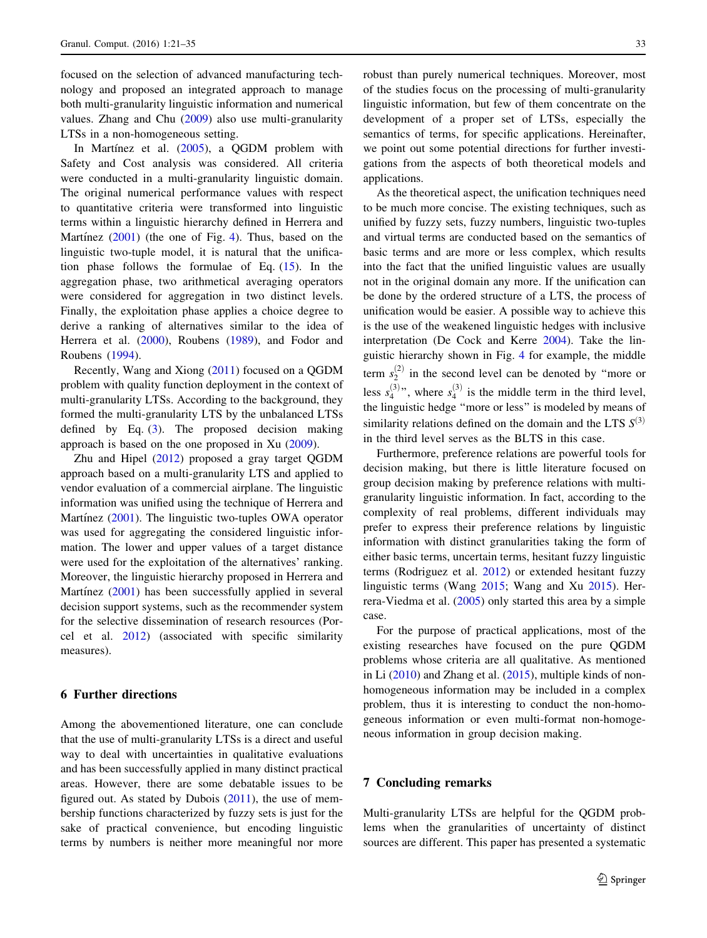<span id="page-12-0"></span>focused on the selection of advanced manufacturing technology and proposed an integrated approach to manage both multi-granularity linguistic information and numerical values. Zhang and Chu ([2009\)](#page-14-0) also use multi-granularity LTSs in a non-homogeneous setting.

In Martínez et al.  $(2005)$  $(2005)$ , a QGDM problem with Safety and Cost analysis was considered. All criteria were conducted in a multi-granularity linguistic domain. The original numerical performance values with respect to quantitative criteria were transformed into linguistic terms within a linguistic hierarchy defined in Herrera and Martinez  $(2001)$  $(2001)$  (the one of Fig. [4](#page-3-0)). Thus, based on the linguistic two-tuple model, it is natural that the unification phase follows the formulae of Eq.  $(15)$  $(15)$ . In the aggregation phase, two arithmetical averaging operators were considered for aggregation in two distinct levels. Finally, the exploitation phase applies a choice degree to derive a ranking of alternatives similar to the idea of Herrera et al. ([2000\)](#page-13-0), Roubens ([1989\)](#page-13-0), and Fodor and Roubens [\(1994](#page-13-0)).

Recently, Wang and Xiong ([2011\)](#page-13-0) focused on a QGDM problem with quality function deployment in the context of multi-granularity LTSs. According to the background, they formed the multi-granularity LTS by the unbalanced LTSs defined by Eq.  $(3)$  $(3)$  $(3)$ . The proposed decision making approach is based on the one proposed in Xu ([2009\)](#page-14-0).

Zhu and Hipel ([2012\)](#page-14-0) proposed a gray target QGDM approach based on a multi-granularity LTS and applied to vendor evaluation of a commercial airplane. The linguistic information was unified using the technique of Herrera and Martínez  $(2001)$  $(2001)$ . The linguistic two-tuples OWA operator was used for aggregating the considered linguistic information. The lower and upper values of a target distance were used for the exploitation of the alternatives' ranking. Moreover, the linguistic hierarchy proposed in Herrera and Martínez  $(2001)$  $(2001)$  has been successfully applied in several decision support systems, such as the recommender system for the selective dissemination of research resources (Porcel et al. [2012](#page-13-0)) (associated with specific similarity measures).

## 6 Further directions

Among the abovementioned literature, one can conclude that the use of multi-granularity LTSs is a direct and useful way to deal with uncertainties in qualitative evaluations and has been successfully applied in many distinct practical areas. However, there are some debatable issues to be figured out. As stated by Dubois  $(2011)$  $(2011)$ , the use of membership functions characterized by fuzzy sets is just for the sake of practical convenience, but encoding linguistic terms by numbers is neither more meaningful nor more robust than purely numerical techniques. Moreover, most of the studies focus on the processing of multi-granularity linguistic information, but few of them concentrate on the development of a proper set of LTSs, especially the semantics of terms, for specific applications. Hereinafter, we point out some potential directions for further investigations from the aspects of both theoretical models and applications.

As the theoretical aspect, the unification techniques need to be much more concise. The existing techniques, such as unified by fuzzy sets, fuzzy numbers, linguistic two-tuples and virtual terms are conducted based on the semantics of basic terms and are more or less complex, which results into the fact that the unified linguistic values are usually not in the original domain any more. If the unification can be done by the ordered structure of a LTS, the process of unification would be easier. A possible way to achieve this is the use of the weakened linguistic hedges with inclusive interpretation (De Cock and Kerre [2004\)](#page-13-0). Take the linguistic hierarchy shown in Fig. [4](#page-3-0) for example, the middle term  $s_2^{(2)}$  in the second level can be denoted by "more or less  $s_4^{(3)}$ , where  $s_4^{(3)}$  is the middle term in the third level, the linguistic hedge ''more or less'' is modeled by means of similarity relations defined on the domain and the LTS  $S^{(3)}$ in the third level serves as the BLTS in this case.

Furthermore, preference relations are powerful tools for decision making, but there is little literature focused on group decision making by preference relations with multigranularity linguistic information. In fact, according to the complexity of real problems, different individuals may prefer to express their preference relations by linguistic information with distinct granularities taking the form of either basic terms, uncertain terms, hesitant fuzzy linguistic terms (Rodriguez et al. [2012\)](#page-13-0) or extended hesitant fuzzy linguistic terms (Wang [2015;](#page-13-0) Wang and Xu [2015\)](#page-14-0). Herrera-Viedma et al. [\(2005](#page-13-0)) only started this area by a simple case.

For the purpose of practical applications, most of the existing researches have focused on the pure QGDM problems whose criteria are all qualitative. As mentioned in Li [\(2010](#page-13-0)) and Zhang et al. ([2015\)](#page-14-0), multiple kinds of nonhomogeneous information may be included in a complex problem, thus it is interesting to conduct the non-homogeneous information or even multi-format non-homogeneous information in group decision making.

## 7 Concluding remarks

Multi-granularity LTSs are helpful for the QGDM problems when the granularities of uncertainty of distinct sources are different. This paper has presented a systematic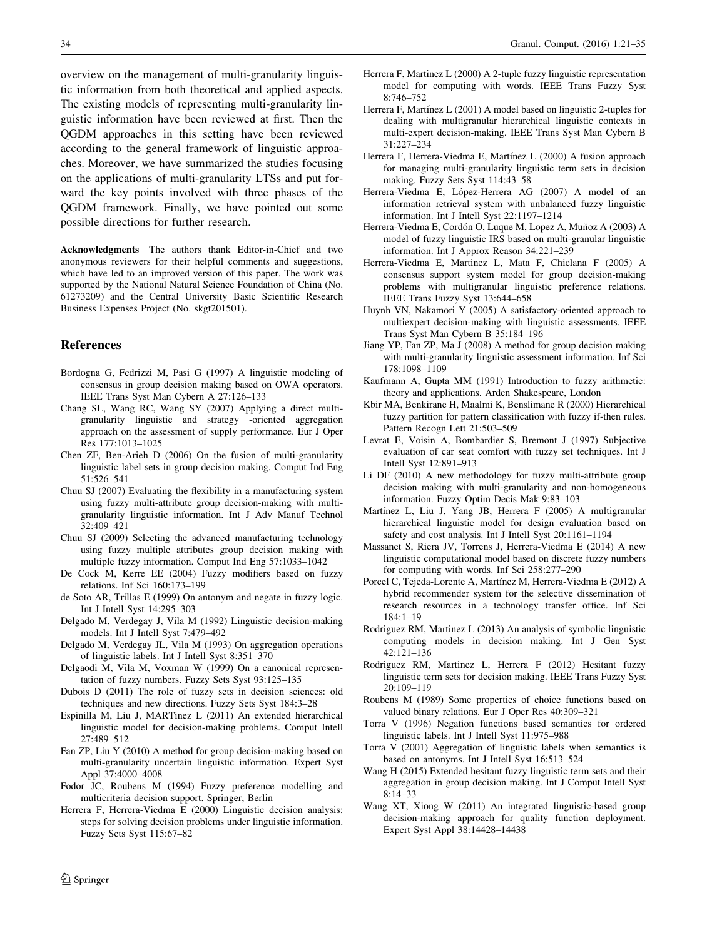<span id="page-13-0"></span>overview on the management of multi-granularity linguistic information from both theoretical and applied aspects. The existing models of representing multi-granularity linguistic information have been reviewed at first. Then the QGDM approaches in this setting have been reviewed according to the general framework of linguistic approaches. Moreover, we have summarized the studies focusing on the applications of multi-granularity LTSs and put forward the key points involved with three phases of the QGDM framework. Finally, we have pointed out some possible directions for further research.

Acknowledgments The authors thank Editor-in-Chief and two anonymous reviewers for their helpful comments and suggestions, which have led to an improved version of this paper. The work was supported by the National Natural Science Foundation of China (No. 61273209) and the Central University Basic Scientific Research Business Expenses Project (No. skgt201501).

#### References

- Bordogna G, Fedrizzi M, Pasi G (1997) A linguistic modeling of consensus in group decision making based on OWA operators. IEEE Trans Syst Man Cybern A 27:126–133
- Chang SL, Wang RC, Wang SY (2007) Applying a direct multigranularity linguistic and strategy -oriented aggregation approach on the assessment of supply performance. Eur J Oper Res 177:1013–1025
- Chen ZF, Ben-Arieh D (2006) On the fusion of multi-granularity linguistic label sets in group decision making. Comput Ind Eng 51:526–541
- Chuu SJ (2007) Evaluating the flexibility in a manufacturing system using fuzzy multi-attribute group decision-making with multigranularity linguistic information. Int J Adv Manuf Technol 32:409–421
- Chuu SJ (2009) Selecting the advanced manufacturing technology using fuzzy multiple attributes group decision making with multiple fuzzy information. Comput Ind Eng 57:1033–1042
- De Cock M, Kerre EE (2004) Fuzzy modifiers based on fuzzy relations. Inf Sci 160:173–199
- de Soto AR, Trillas E (1999) On antonym and negate in fuzzy logic. Int J Intell Syst 14:295–303
- Delgado M, Verdegay J, Vila M (1992) Linguistic decision-making models. Int J Intell Syst 7:479–492
- Delgado M, Verdegay JL, Vila M (1993) On aggregation operations of linguistic labels. Int J Intell Syst 8:351–370
- Delgaodi M, Vila M, Voxman W (1999) On a canonical representation of fuzzy numbers. Fuzzy Sets Syst 93:125–135
- Dubois D (2011) The role of fuzzy sets in decision sciences: old techniques and new directions. Fuzzy Sets Syst 184:3–28
- Espinilla M, Liu J, MARTinez L (2011) An extended hierarchical linguistic model for decision-making problems. Comput Intell 27:489–512
- Fan ZP, Liu Y (2010) A method for group decision-making based on multi-granularity uncertain linguistic information. Expert Syst Appl 37:4000–4008
- Fodor JC, Roubens M (1994) Fuzzy preference modelling and multicriteria decision support. Springer, Berlin
- Herrera F, Herrera-Viedma E (2000) Linguistic decision analysis: steps for solving decision problems under linguistic information. Fuzzy Sets Syst 115:67–82
- Herrera F, Martinez L (2000) A 2-tuple fuzzy linguistic representation model for computing with words. IEEE Trans Fuzzy Syst 8:746–752
- Herrera F, Martínez L  $(2001)$  A model based on linguistic 2-tuples for dealing with multigranular hierarchical linguistic contexts in multi-expert decision-making. IEEE Trans Syst Man Cybern B 31:227–234
- Herrera F, Herrera-Viedma E, Martínez L (2000) A fusion approach for managing multi-granularity linguistic term sets in decision making. Fuzzy Sets Syst 114:43–58
- Herrera-Viedma E, López-Herrera AG (2007) A model of an information retrieval system with unbalanced fuzzy linguistic information. Int J Intell Syst 22:1197–1214
- Herrera-Viedma E, Cordón O, Luque M, Lopez A, Muñoz A (2003) A model of fuzzy linguistic IRS based on multi-granular linguistic information. Int J Approx Reason 34:221–239
- Herrera-Viedma E, Martinez L, Mata F, Chiclana F (2005) A consensus support system model for group decision-making problems with multigranular linguistic preference relations. IEEE Trans Fuzzy Syst 13:644–658
- Huynh VN, Nakamori Y (2005) A satisfactory-oriented approach to multiexpert decision-making with linguistic assessments. IEEE Trans Syst Man Cybern B 35:184–196
- Jiang YP, Fan ZP, Ma J (2008) A method for group decision making with multi-granularity linguistic assessment information. Inf Sci 178:1098–1109
- Kaufmann A, Gupta MM (1991) Introduction to fuzzy arithmetic: theory and applications. Arden Shakespeare, London
- Kbir MA, Benkirane H, Maalmi K, Benslimane R (2000) Hierarchical fuzzy partition for pattern classification with fuzzy if-then rules. Pattern Recogn Lett 21:503–509
- Levrat E, Voisin A, Bombardier S, Bremont J (1997) Subjective evaluation of car seat comfort with fuzzy set techniques. Int J Intell Syst 12:891–913
- Li DF (2010) A new methodology for fuzzy multi-attribute group decision making with multi-granularity and non-homogeneous information. Fuzzy Optim Decis Mak 9:83–103
- Martínez L, Liu J, Yang JB, Herrera F (2005) A multigranular hierarchical linguistic model for design evaluation based on safety and cost analysis. Int J Intell Syst 20:1161–1194
- Massanet S, Riera JV, Torrens J, Herrera-Viedma E (2014) A new linguistic computational model based on discrete fuzzy numbers for computing with words. Inf Sci 258:277–290
- Porcel C, Tejeda-Lorente A, Martínez M, Herrera-Viedma E (2012) A hybrid recommender system for the selective dissemination of research resources in a technology transfer office. Inf Sci 184:1–19
- Rodriguez RM, Martinez L (2013) An analysis of symbolic linguistic computing models in decision making. Int J Gen Syst 42:121–136
- Rodriguez RM, Martinez L, Herrera F (2012) Hesitant fuzzy linguistic term sets for decision making. IEEE Trans Fuzzy Syst 20:109–119
- Roubens M (1989) Some properties of choice functions based on valued binary relations. Eur J Oper Res 40:309–321
- Torra V (1996) Negation functions based semantics for ordered linguistic labels. Int J Intell Syst 11:975–988
- Torra V (2001) Aggregation of linguistic labels when semantics is based on antonyms. Int J Intell Syst 16:513–524
- Wang H (2015) Extended hesitant fuzzy linguistic term sets and their aggregation in group decision making. Int J Comput Intell Syst 8:14–33
- Wang XT, Xiong W (2011) An integrated linguistic-based group decision-making approach for quality function deployment. Expert Syst Appl 38:14428–14438